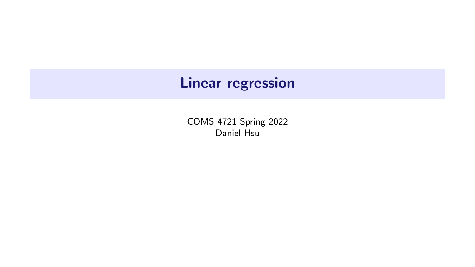# Linear regression

COMS 4721 Spring 2022 Daniel Hsu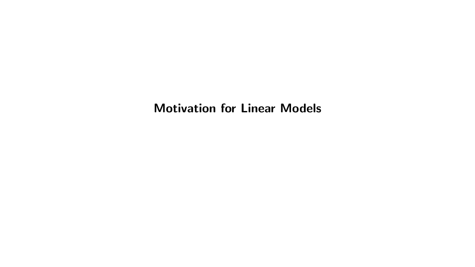#### Motivation for Linear Models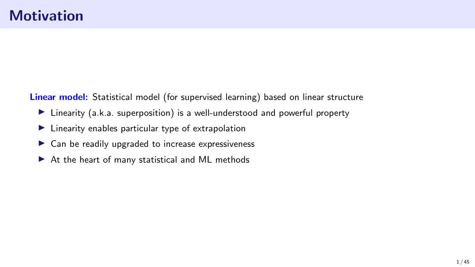Linear model: Statistical model (for supervised learning) based on linear structure

- ▶ Linearity (a.k.a. superposition) is a well-understood and powerful property
- ▶ Linearity enables particular type of extrapolation
- $\triangleright$  Can be readily upgraded to increase expressiveness
- ▶ At the heart of many statistical and ML methods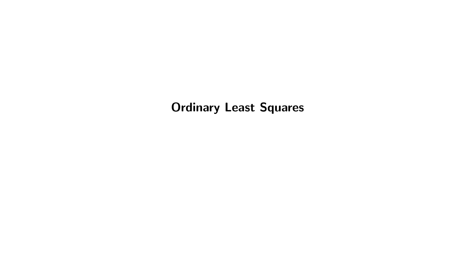Ordinary Least Squares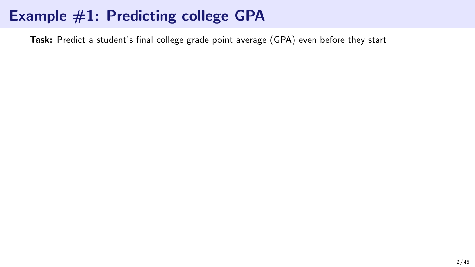# Example #1: Predicting college GPA

Task: Predict a student's final college grade point average (GPA) even before they start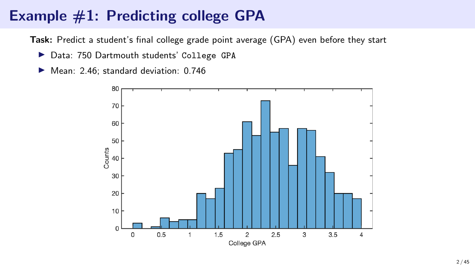# Example #1: Predicting college GPA

Task: Predict a student's final college grade point average (GPA) even before they start

- ▶ Data: 750 Dartmouth students' College GPA
- ▶ Mean: 2.46; standard deviation: 0.746

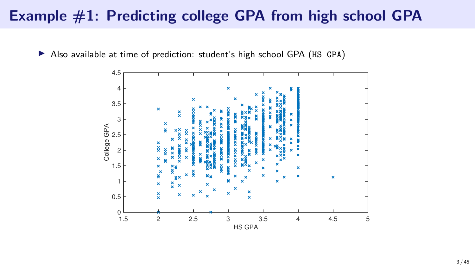### Example #1: Predicting college GPA from high school GPA



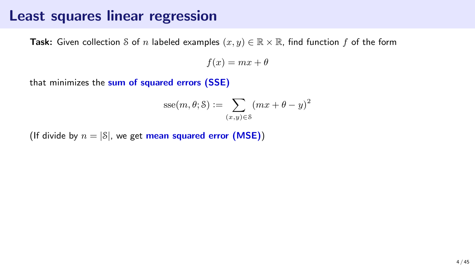#### Least squares linear regression

**Task:** Given collection S of n labeled examples  $(x, y) \in \mathbb{R} \times \mathbb{R}$ , find function f of the form

 $f(x) = mx + \theta$ 

that minimizes the sum of squared errors (SSE)

$$
sse(m, \theta; \mathcal{S}) := \sum_{(x,y) \in \mathcal{S}} (mx + \theta - y)^2
$$

(If divide by  $n = |\mathcal{S}|$ , we get mean squared error (MSE))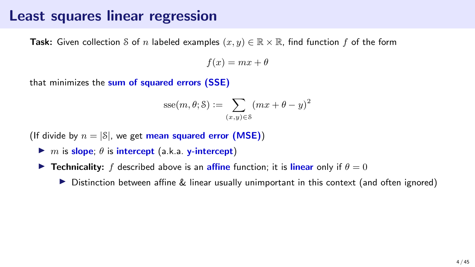#### Least squares linear regression

**Task:** Given collection S of n labeled examples  $(x, y) \in \mathbb{R} \times \mathbb{R}$ , find function f of the form

 $f(x) = mx + \theta$ 

that minimizes the sum of squared errors (SSE)

$$
\text{sse}(m, \theta; \mathbf{S}) := \sum_{(x, y) \in \mathbf{S}} (mx + \theta - y)^2
$$

(If divide by  $n = |S|$ , we get mean squared error (MSE))

- $\blacktriangleright$  m is slope;  $\theta$  is intercept (a.k.a. y-intercept)
- **Fechnicality:** f described above is an **affine** function; it is **linear** only if  $\theta = 0$ 
	- ▶ Distinction between affine & linear usually unimportant in this context (and often ignored)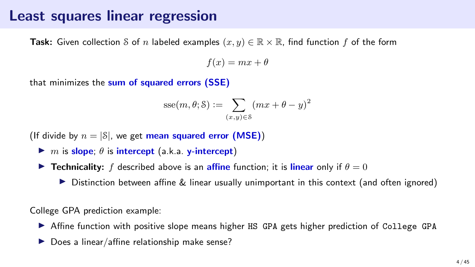#### Least squares linear regression

**Task:** Given collection S of n labeled examples  $(x, y) \in \mathbb{R} \times \mathbb{R}$ , find function f of the form

 $f(x) = mx + \theta$ 

that minimizes the sum of squared errors (SSE)

$$
\text{sse}(m, \theta; \mathbf{S}) := \sum_{(x, y) \in \mathbf{S}} (mx + \theta - y)^2
$$

(If divide by  $n = |S|$ , we get mean squared error (MSE))

- $\blacktriangleright$  m is slope;  $\theta$  is intercept (a.k.a. y-intercept)
- **Fechnicality:** f described above is an **affine** function; it is **linear** only if  $\theta = 0$ 
	- ▶ Distinction between affine & linear usually unimportant in this context (and often ignored)

College GPA prediction example:

- ▶ Affine function with positive slope means higher HS GPA gets higher prediction of College GPA
- Does a linear/affine relationship make sense?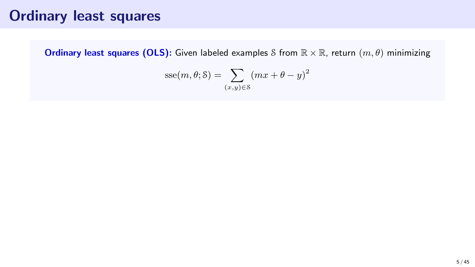## Ordinary least squares

**Ordinary least squares (OLS):** Given labeled examples S from  $\mathbb{R} \times \mathbb{R}$ , return  $(m, \theta)$  minimizing

$$
sse(m, \theta; \mathcal{S}) = \sum_{(x, y) \in \mathcal{S}} (mx + \theta - y)^2
$$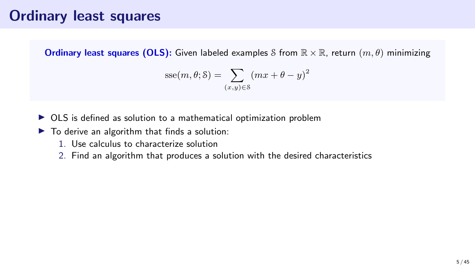## Ordinary least squares

**Ordinary least squares (OLS):** Given labeled examples S from  $\mathbb{R} \times \mathbb{R}$ , return  $(m, \theta)$  minimizing

$$
sse(m, \theta; \mathcal{S}) = \sum_{(x, y) \in \mathcal{S}} (mx + \theta - y)^2
$$

- ▶ OLS is defined as solution to a mathematical optimization problem
- $\blacktriangleright$  To derive an algorithm that finds a solution:
	- 1. Use calculus to characterize solution
	- 2. Find an algorithm that produces a solution with the desired characteristics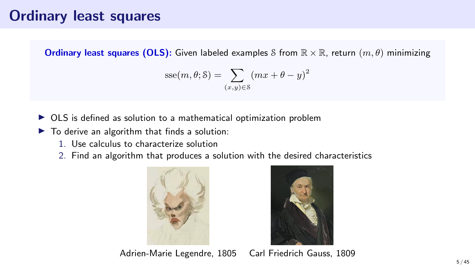## Ordinary least squares

**Ordinary least squares (OLS):** Given labeled examples S from  $\mathbb{R} \times \mathbb{R}$ , return  $(m, \theta)$  minimizing

$$
\text{sse}(m, \theta; \mathbf{S}) = \sum_{(x, y) \in \mathbf{S}} (mx + \theta - y)^2
$$

- ▶ OLS is defined as solution to a mathematical optimization problem
- $\blacktriangleright$  To derive an algorithm that finds a solution:
	- 1. Use calculus to characterize solution
	- 2. Find an algorithm that produces a solution with the desired characteristics





Adrien-Marie Legendre, 1805 Carl Friedrich Gauss, 1809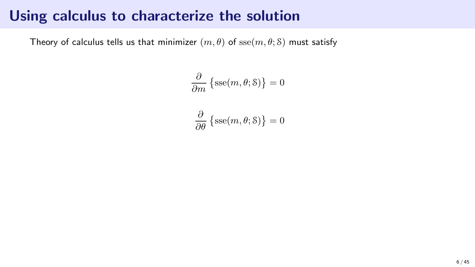Theory of calculus tells us that minimizer  $(m, \theta)$  of  $\operatorname{sse}(m, \theta; \delta)$  must satisfy

$$
\frac{\partial}{\partial m} \left\{ \text{sse}(m, \theta; \mathcal{S}) \right\} = 0
$$

$$
\frac{\partial}{\partial \theta} \left\{ \operatorname{sse}(m, \theta; \mathcal{S}) \right\} = 0
$$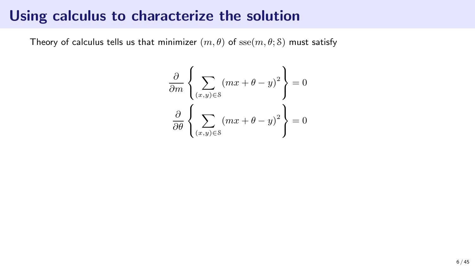Theory of calculus tells us that minimizer  $(m, \theta)$  of  $\operatorname{sse}(m, \theta; \delta)$  must satisfy

$$
\frac{\partial}{\partial m} \left\{ \sum_{(x,y)\in S} (mx + \theta - y)^2 \right\} = 0
$$

$$
\frac{\partial}{\partial \theta} \left\{ \sum_{(x,y)\in S} (mx + \theta - y)^2 \right\} = 0
$$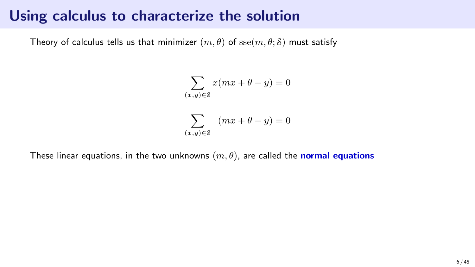Theory of calculus tells us that minimizer  $(m, \theta)$  of  $\operatorname{sse}(m, \theta; \mathcal{S})$  must satisfy

$$
\sum_{(x,y)\in\mathcal{S}} x(mx+\theta-y) = 0
$$
  

$$
\sum_{(x,y)\in\mathcal{S}} (mx+\theta-y) = 0
$$

These linear equations, in the two unknowns  $(m, \theta)$ , are called the normal equations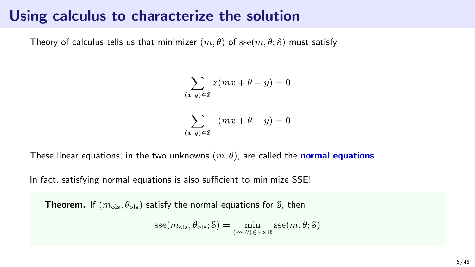Theory of calculus tells us that minimizer  $(m, \theta)$  of sse $(m, \theta; \delta)$  must satisfy

$$
\sum_{(x,y)\in\mathcal{S}} x(mx+\theta-y) = 0
$$
  

$$
\sum_{(x,y)\in\mathcal{S}} (mx+\theta-y) = 0
$$

These linear equations, in the two unknowns  $(m, \theta)$ , are called the normal equations

In fact, satisfying normal equations is also sufficient to minimize SSE!

**Theorem.** If  $(m_{ols}, \theta_{ols})$  satisfy the normal equations for S, then

$$
\text{sse}(m_{\text{ols}}, \theta_{\text{ols}}; \mathcal{S}) = \min_{(m, \theta) \in \mathbb{R} \times \mathbb{R}} \text{sse}(m, \theta; \mathcal{S})
$$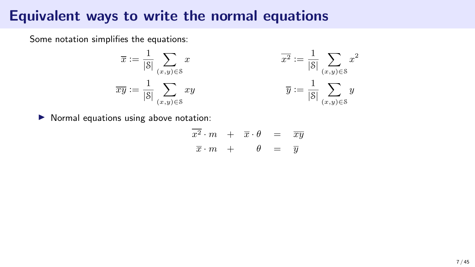#### Equivalent ways to write the normal equations

Some notation simplifies the equations:

$$
\overline{x} := \frac{1}{|\mathcal{S}|} \sum_{(x,y) \in \mathcal{S}} x \qquad \qquad \overline{x^2} := \frac{1}{|\mathcal{S}|}
$$
  

$$
\overline{xy} := \frac{1}{|\mathcal{S}|} \sum_{(x,y) \in \mathcal{S}} xy \qquad \qquad \overline{y} := \frac{1}{|\mathcal{S}|}
$$

▶ Normal equations using above notation:

$$
\begin{array}{rcl}\n\overline{x^2} \cdot m & + & \overline{x} \cdot \theta & = & \overline{x} \overline{y} \\
\overline{x} \cdot m & + & \theta & = & \overline{y}\n\end{array}
$$

 $\sum x^2$  $(x,y)\in\mathcal{S}$ 

 $\sum y$  $(x,y)∈S$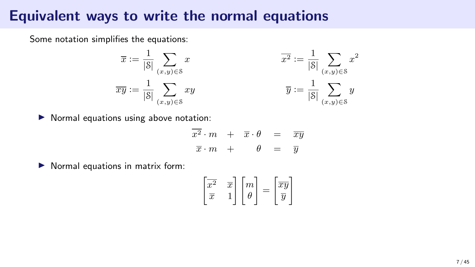#### Equivalent ways to write the normal equations

Some notation simplifies the equations:

$$
\overline{x} := \frac{1}{|\mathcal{S}|} \sum_{(x,y) \in \mathcal{S}} x
$$

$$
\overline{xy} := \frac{1}{|\mathcal{S}|} \sum_{(x,y) \in \mathcal{S}} xy
$$

$$
xy \qquad \qquad \overline{x^2} := \frac{1}{|\mathcal{S}|} \sum_{(x,y)\in\mathcal{S}} x^2
$$

$$
\overline{y} := \frac{1}{|\mathcal{S}|} \sum_{(x,y)\in\mathcal{S}} y
$$

▶ Normal equations using above notation:

|  |                         | $\overline{x^2} \cdot m + \overline{x} \cdot \theta$ | $=$                | $\overline{xy}$ |
|--|-------------------------|------------------------------------------------------|--------------------|-----------------|
|  | $\overline{x}\cdot m$ + | $\theta$                                             | $=$ $\overline{y}$ |                 |

▶ Normal equations in matrix form:

$$
\begin{bmatrix} \overline{x^2} & \overline{x} \\ \overline{x} & 1 \end{bmatrix} \begin{bmatrix} m \\ \theta \end{bmatrix} = \begin{bmatrix} \overline{xy} \\ \overline{y} \end{bmatrix}
$$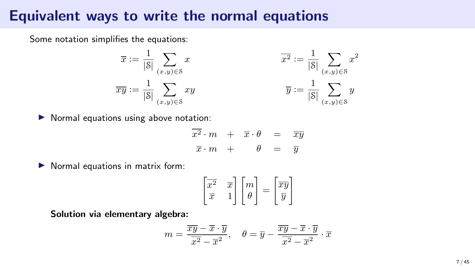#### Equivalent ways to write the normal equations

Some notation simplifies the equations:

$$
\overline{x} := \frac{1}{|\mathcal{S}|} \sum_{(x,y) \in \mathcal{S}} x
$$

$$
\overline{xy} := \frac{1}{|\mathcal{S}|} \sum_{(x,y) \in \mathcal{S}} xy
$$

$$
xy \qquad \qquad \overline{x^2} := \frac{1}{|\mathcal{S}|} \sum_{(x,y)\in\mathcal{S}} x^2
$$

$$
\overline{y} := \frac{1}{|\mathcal{S}|} \sum_{(x,y)\in\mathcal{S}} y
$$

▶ Normal equations using above notation:

| $\overline{x^2} \cdot m + \overline{x} \cdot \theta$ |          | $=$ $\overline{xy}$ |  |
|------------------------------------------------------|----------|---------------------|--|
| $\overline{x}\cdot m$ +                              | $\theta$ | $=$ $\overline{y}$  |  |

▶ Normal equations in matrix form:

$$
\begin{bmatrix} \overline{x^2} & \overline{x} \\ \overline{x} & 1 \end{bmatrix} \begin{bmatrix} m \\ \theta \end{bmatrix} = \begin{bmatrix} \overline{xy} \\ \overline{y} \end{bmatrix}
$$

Solution via elementary algebra:

$$
m = \frac{\overline{xy} - \overline{x} \cdot \overline{y}}{\overline{x^2} - \overline{x}^2}, \quad \theta = \overline{y} - \frac{\overline{xy} - \overline{x} \cdot \overline{y}}{\overline{x^2} - \overline{x}^2} \cdot \overline{x}
$$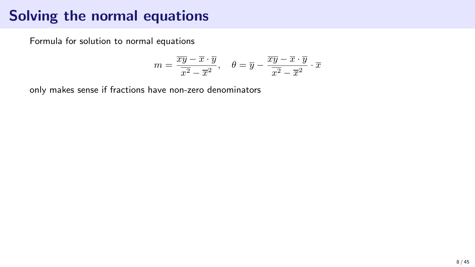# Solving the normal equations

Formula for solution to normal equations

$$
m=\frac{\overline{xy}-\overline{x}\cdot \overline{y}}{\overline{x^2}-\overline{x}^2},\quad \theta=\overline{y}-\frac{\overline{xy}-\overline{x}\cdot \overline{y}}{\overline{x^2}-\overline{x}^2}\cdot \overline{x}
$$

only makes sense if fractions have non-zero denominators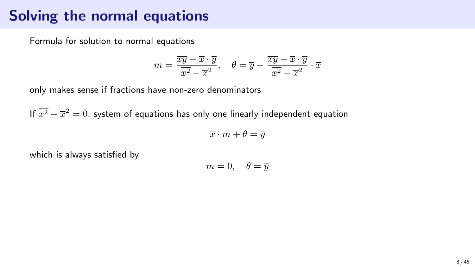## Solving the normal equations

Formula for solution to normal equations

$$
m=\frac{\overline{xy}-\overline{x}\cdot \overline{y}}{\overline{x^2}-\overline{x}^2},\quad \theta=\overline{y}-\frac{\overline{xy}-\overline{x}\cdot \overline{y}}{\overline{x^2}-\overline{x}^2}\cdot \overline{x}
$$

only makes sense if fractions have non-zero denominators

If  $\overline{x^2} - \overline{x}^2 = 0$ , system of equations has only one linearly independent equation

 $\overline{x} \cdot m + \theta = \overline{y}$ 

which is always satisfied by

$$
m=0, \quad \theta=\overline{y}
$$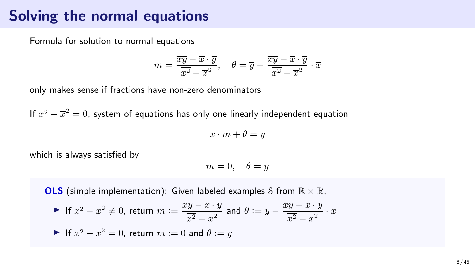## Solving the normal equations

Formula for solution to normal equations

$$
m=\frac{\overline{xy}-\overline{x}\cdot \overline{y}}{\overline{x^2}-\overline{x}^2},\quad \theta=\overline{y}-\frac{\overline{xy}-\overline{x}\cdot \overline{y}}{\overline{x^2}-\overline{x}^2}\cdot \overline{x}
$$

only makes sense if fractions have non-zero denominators

If  $\overline{x^2} - \overline{x}^2 = 0$ , system of equations has only one linearly independent equation

$$
\overline{x}\cdot m+\theta=\overline{y}
$$

which is always satisfied by

$$
m=0, \quad \theta=\overline{y}
$$

**OLS** (simple implementation): Given labeled examples S from  $\mathbb{R} \times \mathbb{R}$ ,

\n- If 
$$
\overline{x^2} - \overline{x}^2 \neq 0
$$
, return  $m := \frac{\overline{xy} - \overline{x} \cdot \overline{y}}{\overline{x^2} - \overline{x}^2}$  and  $\theta := \overline{y} - \frac{\overline{xy} - \overline{x} \cdot \overline{y}}{\overline{x^2} - \overline{x}^2} \cdot \overline{x}$
\n- If  $\overline{x^2} - \overline{x}^2 = 0$ , return  $m := 0$  and  $\theta := \overline{y}$
\n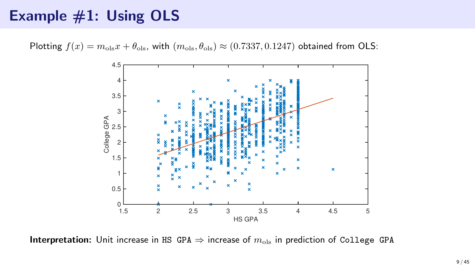# Example #1: Using OLS

Plotting  $f(x) = m_{\text{ols}}x + \theta_{\text{ols}}$ , with  $(m_{\text{ols}}, \theta_{\text{ols}}) \approx (0.7337, 0.1247)$  obtained from OLS:



**Interpretation:** Unit increase in HS GPA  $\Rightarrow$  increase of  $m_{ols}$  in prediction of College GPA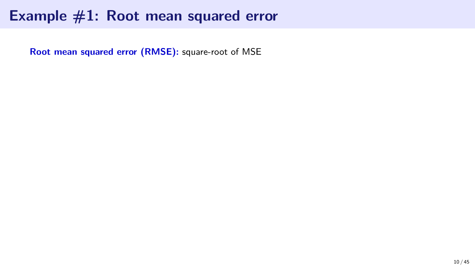Root mean squared error (RMSE): square-root of MSE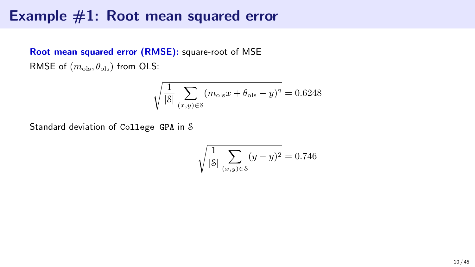#### Root mean squared error (RMSE): square-root of MSE RMSE of  $(m_{\text{ols}}, \theta_{\text{ols}})$  from OLS:

$$
\sqrt{\frac{1}{|\mathcal{S}|} \sum_{(x,y)\in \mathcal{S}} (m_{\text{ols}}x + \theta_{\text{ols}} - y)^2} = 0.6248
$$

Standard deviation of College GPA in S

$$
\sqrt{\frac{1}{|\mathcal{S}|} \sum_{(x,y) \in \mathcal{S}} (\overline{y} - y)^2} = 0.746
$$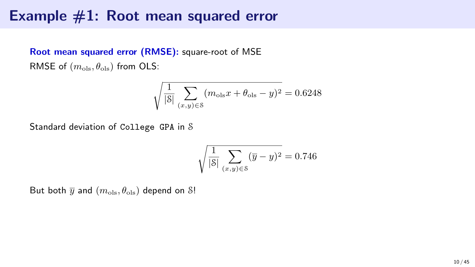#### Root mean squared error (RMSE): square-root of MSE RMSE of  $(m_{\text{ols}}, \theta_{\text{ols}})$  from OLS:

$$
\sqrt{\frac{1}{|\mathcal{S}|} \sum_{(x,y)\in \mathcal{S}} (m_{\text{ols}}x + \theta_{\text{ols}} - y)^2} = 0.6248
$$

Standard deviation of College GPA in S

$$
\sqrt{\frac{1}{|\mathcal{S}|} \sum_{(x,y) \in \mathcal{S}} (\overline{y} - y)^2} = 0.746
$$

But both  $\overline{y}$  and  $(m_{\text{ols}}, \theta_{\text{ols}})$  depend on S!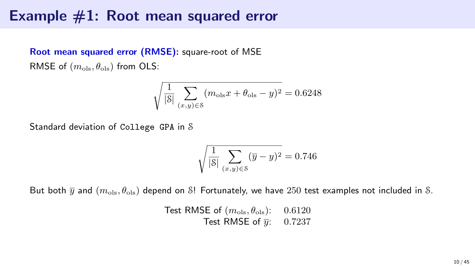#### Root mean squared error (RMSE): square-root of MSE RMSE of  $(m_{\text{ols}}, \theta_{\text{ols}})$  from OLS:

$$
\sqrt{\frac{1}{|\mathcal{S}|} \sum_{(x,y)\in \mathcal{S}} (m_{\text{ols}}x + \theta_{\text{ols}} - y)^2} = 0.6248
$$

Standard deviation of College GPA in S

$$
\sqrt{\frac{1}{|\mathcal{S}|} \sum_{(x,y) \in \mathcal{S}} (\overline{y} - y)^2} = 0.746
$$

But both  $\bar{y}$  and  $(m_{\text{ols}}, \theta_{\text{ols}})$  depend on S! Fortunately, we have 250 test examples not included in S.

Test RMSE of  $(m_{\text{ols}}, \theta_{\text{ols}})$ : 0.6120 Test RMSE of  $\overline{u}$ : 0.7237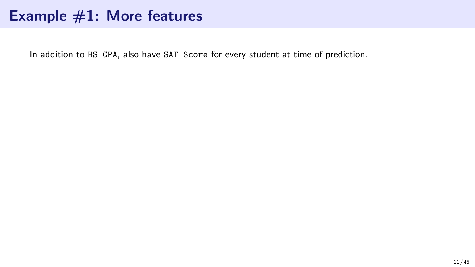In addition to HS GPA, also have SAT Score for every student at time of prediction.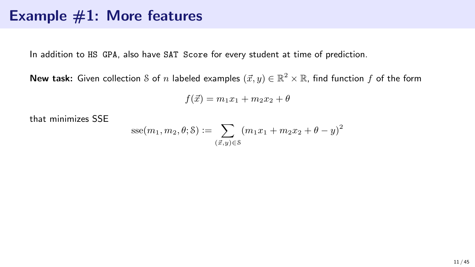In addition to HS GPA, also have SAT Score for every student at time of prediction.

**New task:** Given collection  ${\mathcal S}$  of  $n$  labeled examples  $(\vec x,y)\in\mathbb{R}^2\times\mathbb{R}$ , find function  $f$  of the form

$$
f(\vec{x}) = m_1 x_1 + m_2 x_2 + \theta
$$

that minimizes SSE

$$
sse(m_1, m_2, \theta; \mathcal{S}) := \sum_{(\vec{x}, y) \in \mathcal{S}} (m_1 x_1 + m_2 x_2 + \theta - y)^2
$$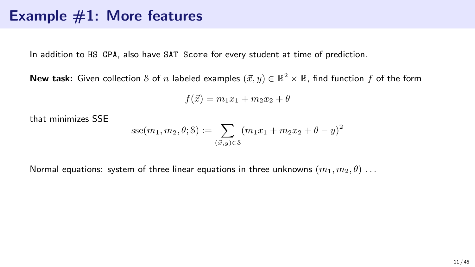In addition to HS GPA, also have SAT Score for every student at time of prediction.

**New task:** Given collection  ${\mathcal S}$  of  $n$  labeled examples  $(\vec x,y)\in\mathbb{R}^2\times\mathbb{R}$ , find function  $f$  of the form

$$
f(\vec{x}) = m_1 x_1 + m_2 x_2 + \theta
$$

that minimizes SSE

$$
sse(m_1, m_2, \theta; \mathcal{S}) := \sum_{(\vec{x}, y) \in \mathcal{S}} (m_1 x_1 + m_2 x_2 + \theta - y)^2
$$

Normal equations: system of three linear equations in three unknowns  $(m_1, m_2, \theta)$ ...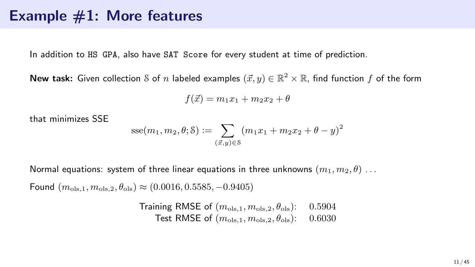In addition to HS GPA, also have SAT Score for every student at time of prediction.

**New task:** Given collection  ${\mathcal S}$  of  $n$  labeled examples  $(\vec x,y)\in\mathbb{R}^2\times\mathbb{R}$ , find function  $f$  of the form

$$
f(\vec{x}) = m_1 x_1 + m_2 x_2 + \theta
$$

that minimizes SSE

$$
sse(m_1, m_2, \theta; \delta) := \sum_{(\vec{x}, y) \in \delta} (m_1 x_1 + m_2 x_2 + \theta - y)^2
$$

Normal equations: system of three linear equations in three unknowns  $(m_1, m_2, \theta)$ ...

Found  $(m_{\text{ols},1}, m_{\text{ols},2}, \theta_{\text{ols}}) \approx (0.0016, 0.5585, -0.9405)$ 

Training RMSE of 
$$
(m_{\text{ols},1}, m_{\text{ols},2}, \theta_{\text{ols}})
$$
:

\n0.5904

\nTest RMSE of  $(m_{\text{ols},1}, m_{\text{ols},2}, \theta_{\text{ols}})$ :

\n0.6030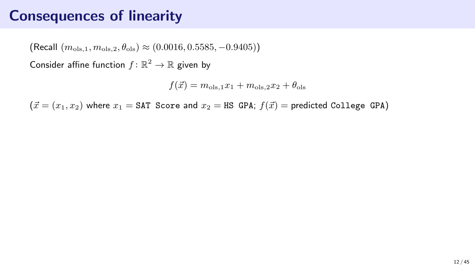(Recall  $(m_{\text{ols }1}, m_{\text{ols }2}, \theta_{\text{ols}}) \approx (0.0016, 0.5585, -0.9405)$ )

Consider affine function  $f: \mathbb{R}^2 \to \mathbb{R}$  given by

 $f(\vec{x}) = m_{\text{ols},1}x_1 + m_{\text{ols},2}x_2 + \theta_{\text{ols}}$ 

 $(\vec{x} = (x_1, x_2)$  where  $x_1 = \text{SAT}$  Score and  $x_2 = \text{HS}$  GPA;  $f(\vec{x}) =$  predicted College GPA)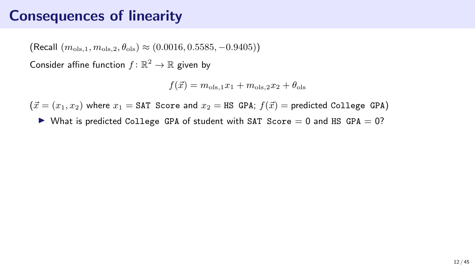(Recall  $(m_{\text{ols }1}, m_{\text{ols }2}, \theta_{\text{ols}}) \approx (0.0016, 0.5585, -0.9405)$ )

Consider affine function  $f: \mathbb{R}^2 \to \mathbb{R}$  given by

 $f(\vec{x}) = m_{\text{ols},1}x_1 + m_{\text{ols},2}x_2 + \theta_{\text{ols}}$ 

 $(\vec{x} = (x_1, x_2)$  where  $x_1 = \text{SAT}$  Score and  $x_2 = \text{HS}$  GPA;  $f(\vec{x}) =$  predicted College GPA)

 $\triangleright$  What is predicted College GPA of student with SAT Score = 0 and HS GPA = 0?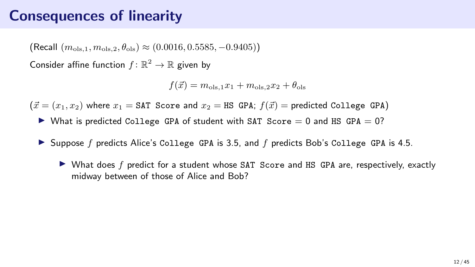(Recall  $(m_{\text{ols }1}, m_{\text{ols }2}, \theta_{\text{ols}}) \approx (0.0016, 0.5585, -0.9405)$ )

Consider affine function  $f: \mathbb{R}^2 \to \mathbb{R}$  given by

 $f(\vec{x}) = m_{\text{ols},1}x_1 + m_{\text{ols},2}x_2 + \theta_{\text{ols}}$ 

 $(\vec{x} = (x_1, x_2)$  where  $x_1 = \text{SAT}$  Score and  $x_2 = \text{HS}$  GPA;  $f(\vec{x}) =$  predicted College GPA)

- $\triangleright$  What is predicted College GPA of student with SAT Score = 0 and HS GPA = 0?
- $\triangleright$  Suppose f predicts Alice's College GPA is 3.5, and f predicts Bob's College GPA is 4.5.
	- $\triangleright$  What does f predict for a student whose SAT Score and HS GPA are, respectively, exactly midway between of those of Alice and Bob?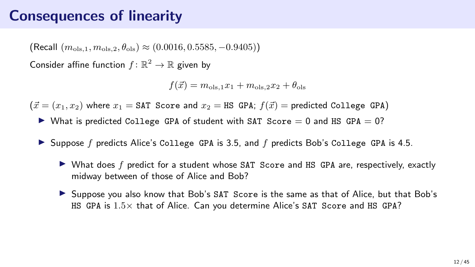(Recall  $(m_{\text{ols }1}, m_{\text{ols }2}, \theta_{\text{ols}}) \approx (0.0016, 0.5585, -0.9405)$ )

Consider affine function  $f: \mathbb{R}^2 \to \mathbb{R}$  given by

 $f(\vec{x}) = m_{\text{ols},1}x_1 + m_{\text{ols},2}x_2 + \theta_{\text{ols}}$ 

 $(\vec{x} = (x_1, x_2)$  where  $x_1 = \text{SAT}$  Score and  $x_2 = \text{HS}$  GPA;  $f(\vec{x}) =$  predicted College GPA)

- $\triangleright$  What is predicted College GPA of student with SAT Score = 0 and HS GPA = 0?
- $\triangleright$  Suppose f predicts Alice's College GPA is 3.5, and f predicts Bob's College GPA is 4.5.
	- $\triangleright$  What does f predict for a student whose SAT Score and HS GPA are, respectively, exactly midway between of those of Alice and Bob?
	- ▶ Suppose you also know that Bob's SAT Score is the same as that of Alice, but that Bob's HS GPA is 1.5× that of Alice. Can you determine Alice's SAT Score and HS GPA?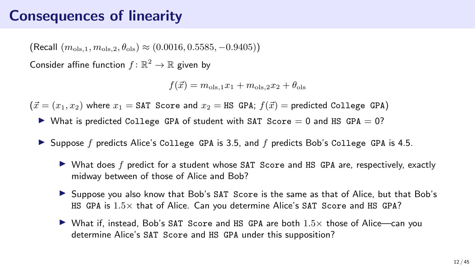### Consequences of linearity

(Recall  $(m_{\text{ols }1}, m_{\text{ols }2}, \theta_{\text{ols}}) \approx (0.0016, 0.5585, -0.9405)$ )

Consider affine function  $f: \mathbb{R}^2 \to \mathbb{R}$  given by

 $f(\vec{x}) = m_{\text{ols},1}x_1 + m_{\text{ols},2}x_2 + \theta_{\text{ols}}$ 

 $(\vec{x} = (x_1, x_2)$  where  $x_1 = \text{SAT}$  Score and  $x_2 = \text{HS}$  GPA;  $f(\vec{x}) =$  predicted College GPA)

- $\triangleright$  What is predicted College GPA of student with SAT Score = 0 and HS GPA = 0?
- $\triangleright$  Suppose f predicts Alice's College GPA is 3.5, and f predicts Bob's College GPA is 4.5.
	- $\triangleright$  What does f predict for a student whose SAT Score and HS GPA are, respectively, exactly midway between of those of Alice and Bob?
	- ▶ Suppose you also know that Bob's SAT Score is the same as that of Alice, but that Bob's HS GPA is 1.5× that of Alice. Can you determine Alice's SAT Score and HS GPA?
	- ▶ What if, instead, Bob's SAT Score and HS GPA are both  $1.5\times$  those of Alice—can you determine Alice's SAT Score and HS GPA under this supposition?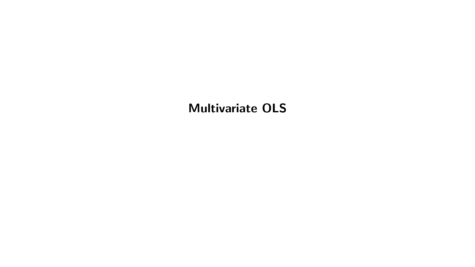### Multivariate OLS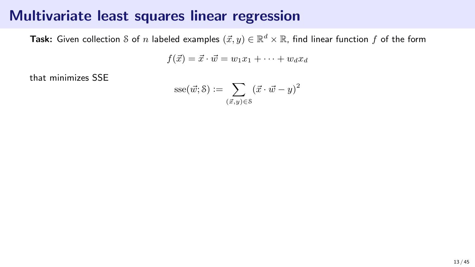**Task:** Given collection  ${\mathcal S}$  of  $n$  labeled examples  $(\vec{x},y)\in{\mathbb R}^d\times{\mathbb R}$ , find linear function  $f$  of the form

 $f(\vec{x}) = \vec{x} \cdot \vec{w} = w_1x_1 + \cdots + w_dx_d$ 

that minimizes SSE

$$
\mathrm{sse}(\vec{w};\mathcal{S}) := \sum_{(\vec{x},y) \in \mathcal{S}} (\vec{x} \cdot \vec{w} - y)^2
$$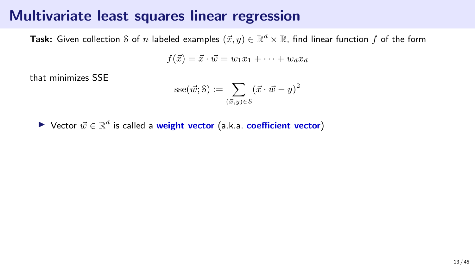**Task:** Given collection  ${\mathcal S}$  of  $n$  labeled examples  $(\vec{x},y)\in{\mathbb R}^d\times{\mathbb R}$ , find linear function  $f$  of the form

 $f(\vec{x}) = \vec{x} \cdot \vec{w} = w_1x_1 + \cdots + w_dx_d$ 

that minimizes SSE

$$
\textrm{sse}(\vec{w};\mathbf{S}):=\sum_{(\vec{x},y)\in\mathbf{S}}(\vec{x}\cdot\vec{w}-y)^2
$$

▶ Vector  $\vec{w} \in \mathbb{R}^d$  is called a weight vector (a.k.a. coefficient vector)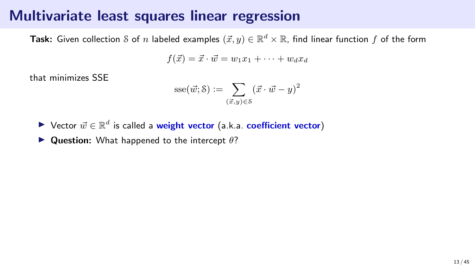**Task:** Given collection  ${\mathcal S}$  of  $n$  labeled examples  $(\vec{x},y)\in{\mathbb R}^d\times{\mathbb R}$ , find linear function  $f$  of the form

 $f(\vec{x}) = \vec{x} \cdot \vec{w} = w_1x_1 + \cdots + w_dx_d$ 

that minimizes SSE

$$
\mathrm{sse}(\vec{w};\mathcal{S}) := \sum_{(\vec{x},y) \in \mathcal{S}} (\vec{x} \cdot \vec{w} - y)^2
$$

▶ Vector  $\vec{w} \in \mathbb{R}^d$  is called a weight vector (a.k.a. coefficient vector)

 $\triangleright$  Question: What happened to the intercept  $\theta$ ?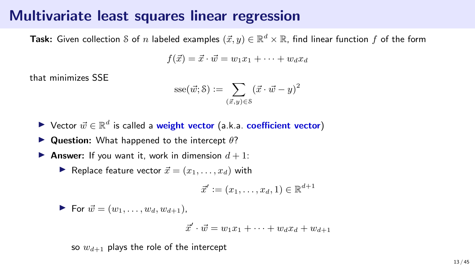**Task:** Given collection  ${\mathcal S}$  of  $n$  labeled examples  $(\vec{x},y)\in{\mathbb R}^d\times{\mathbb R}$ , find linear function  $f$  of the form

$$
f(\vec{x}) = \vec{x} \cdot \vec{w} = w_1 x_1 + \dots + w_d x_d
$$

that minimizes SSE

$$
sse(\vec{w};\mathcal{S}) := \sum_{(\vec{x},y)\in\mathcal{S}} (\vec{x}\cdot\vec{w}-y)^2
$$

- ▶ Vector  $\vec{w} \in \mathbb{R}^d$  is called a weight vector (a.k.a. coefficient vector)
- $\blacktriangleright$  Question: What happened to the intercept  $\theta$ ?
- **Answer:** If you want it, work in dimension  $d + 1$ :
	- ▶ Replace feature vector  $\vec{x} = (x_1, \ldots, x_d)$  with

$$
\vec{x}' := (x_1, \ldots, x_d, 1) \in \mathbb{R}^{d+1}
$$

$$
\blacktriangleright \text{ For } \vec{w} = (w_1, \ldots, w_d, w_{d+1}),
$$

$$
\vec{x}' \cdot \vec{w} = w_1 x_1 + \dots + w_d x_d + w_{d+1}
$$

so  $w_{d+1}$  plays the role of the intercept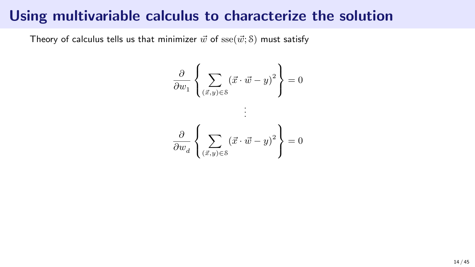### Using multivariable calculus to characterize the solution

Theory of calculus tells us that minimizer  $\vec{w}$  of  $\text{sse}(\vec{w}; \delta)$  must satisfy

$$
\frac{\partial}{\partial w_1} \left\{ \sum_{(\vec{x},y) \in \mathcal{S}} (\vec{x} \cdot \vec{w} - y)^2 \right\} = 0
$$

$$
\vdots
$$

$$
\frac{\partial}{\partial w_d} \left\{ \sum_{(\vec{x},y) \in \mathcal{S}} (\vec{x} \cdot \vec{w} - y)^2 \right\} = 0
$$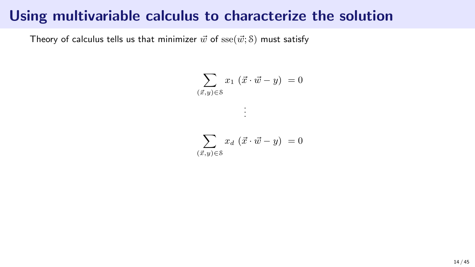### Using multivariable calculus to characterize the solution

Theory of calculus tells us that minimizer  $\vec{w}$  of  $\text{sse}(\vec{w}; \delta)$  must satisfy

$$
\sum_{(\vec{x},y)\in\mathcal{S}} x_1\ (\vec{x}\cdot\vec{w}-y)\ =0
$$

. . .

$$
\sum_{(\vec{x},y)\in\mathcal{S}} x_d \, (\vec{x} \cdot \vec{w} - y) = 0
$$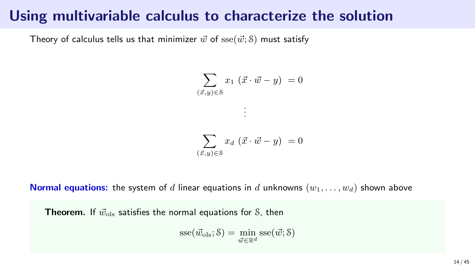### Using multivariable calculus to characterize the solution

Theory of calculus tells us that minimizer  $\vec{w}$  of  $\text{sse}(\vec{w}; \mathcal{S})$  must satisfy

$$
\sum_{(\vec{x},y)\in\mathcal{S}} x_1 (\vec{x} \cdot \vec{w} - y) = 0
$$

$$
\vdots
$$

$$
\sum_{(\vec{x},y)\in\mathcal{S}} x_d (\vec{x} \cdot \vec{w} - y) = 0
$$

**Normal equations:** the system of d linear equations in d unknowns  $(w_1, \ldots, w_d)$  shown above

**Theorem.** If  $\vec{w}_{\text{ols}}$  satisfies the normal equations for S, then

$$
\text{sse}(\vec{w}_{ols}; \delta) = \min_{\vec{w} \in \mathbb{R}^d} \text{sse}(\vec{w}; \delta)
$$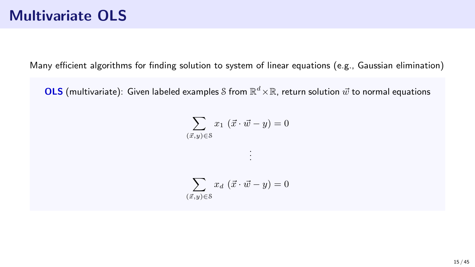Many efficient algorithms for finding solution to system of linear equations (e.g., Gaussian elimination)

OLS (multivariate): Given labeled examples S from  $\mathbb{R}^d\times\mathbb{R}$ , return solution  $\vec{w}$  to normal equations

$$
\sum_{(\vec{x},y)\in\mathcal{S}} x_1 (\vec{x} \cdot \vec{w} - y) = 0
$$

. .

$$
\sum_{(\vec{x},y)\in\mathcal{S}} x_d (\vec{x} \cdot \vec{w} - y) = 0
$$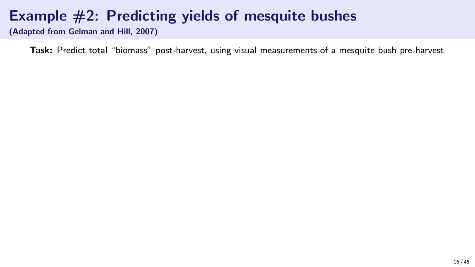## Example #2: Predicting yields of mesquite bushes

(Adapted from Gelman and Hill, 2007)

Task: Predict total "biomass" post-harvest, using visual measurements of a mesquite bush pre-harvest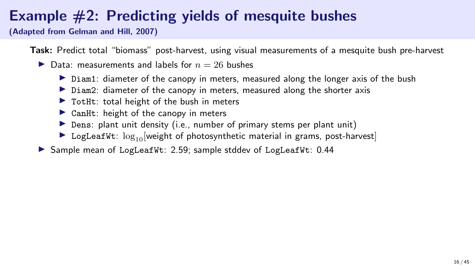## Example #2: Predicting yields of mesquite bushes

(Adapted from Gelman and Hill, 2007)

Task: Predict total "biomass" post-harvest, using visual measurements of a mesquite bush pre-harvest

- $\blacktriangleright$  Data: measurements and labels for  $n = 26$  bushes
	- $\triangleright$  Diam1: diameter of the canopy in meters, measured along the longer axis of the bush
	- ▶ Diam2: diameter of the canopy in meters, measured along the shorter axis
	- $\triangleright$  TotHt: total height of the bush in meters
	- $\triangleright$  CanHt: height of the canopy in meters
	- $\triangleright$  Dens: plant unit density (i.e., number of primary stems per plant unit)
	- **EXECUTE:**  $\log_{10}[\text{weight of photosynthetic material in grams, post-harvest}]$

▶ Sample mean of LogLeafWt: 2.59; sample stddev of LogLeafWt: 0.44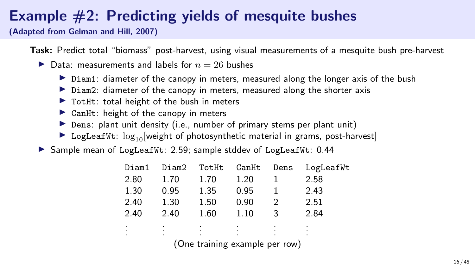### Example #2: Predicting yields of mesquite bushes

(Adapted from Gelman and Hill, 2007)

Task: Predict total "biomass" post-harvest, using visual measurements of a mesquite bush pre-harvest

- $\blacktriangleright$  Data: measurements and labels for  $n = 26$  bushes
	- $\triangleright$  Diam1: diameter of the canopy in meters, measured along the longer axis of the bush
	- ▶ Diam2: diameter of the canopy in meters, measured along the shorter axis
	- $\triangleright$  TotHt: total height of the bush in meters
	- $\triangleright$  CanHt: height of the canopy in meters
	- $\triangleright$  Dens: plant unit density (i.e., number of primary stems per plant unit)
	- $\triangleright$  LogLeafWt:  $\log_{10}$ [weight of photosynthetic material in grams, post-harvest]

▶ Sample mean of LogLeafWt: 2.59; sample stddev of LogLeafWt: 0.44

| Diam1  | Diam2  | TotHt  | CanHt | Dens | LogLeafWt |
|--------|--------|--------|-------|------|-----------|
| 2.80   | 1.70   | 1.70   | 1.20  |      | 2.58      |
| 1.30   | 0.95   | 1.35   | 0.95  |      | 2.43      |
| 2.40   | 1.30   | 1.50   | 0.90  |      | 2.51      |
| 2.40   | 2.40   | 1.60   | 1.10  | 3    | 2.84      |
| ٠      | ٠      | ٠      | ٠     | ٠    | ٠         |
| ٠<br>۰ | ٠<br>٠ | ٠<br>٠ |       |      | ٠         |

(One training example per row)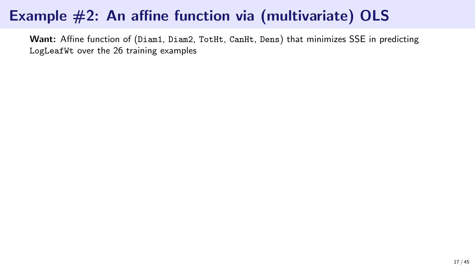Want: Affine function of (Diam1, Diam2, TotHt, CanHt, Dens) that minimizes SSE in predicting LogLeafWt over the 26 training examples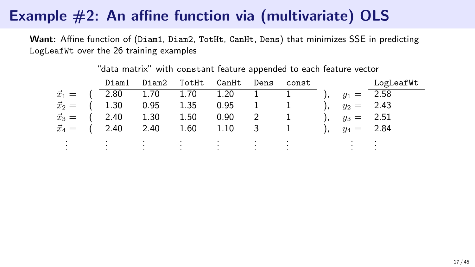Want: Affine function of (Diam1, Diam2, TotHt, CanHt, Dens) that minimizes SSE in predicting LogLeafWt over the 26 training examples

|                                 |  |                                                                                                                 |  |  | Diam1 Diam2 TotHt CanHt Dens const          LogLeafWt |
|---------------------------------|--|-----------------------------------------------------------------------------------------------------------------|--|--|-------------------------------------------------------|
|                                 |  | $\vec{x}_1 = (2.80 \quad 1.70 \quad 1.70 \quad 1.20 \quad 1 \quad 1 \quad 1)$ , $y_1 = 2.58$                    |  |  |                                                       |
|                                 |  | $\vec{x}_2 = (1.30 \t 0.95 \t 1.35 \t 0.95 \t 1 \t 1), y_2 = 2.43$                                              |  |  |                                                       |
|                                 |  | $\vec{x}_3 = (2.40 \quad 1.30 \quad 1.50 \quad 0.90 \quad 2 \quad 1 \quad ), \quad y_3 = 2.51$                  |  |  |                                                       |
|                                 |  | $\vec{x}_4 = (2.40 \quad 2.40 \quad 1.60 \quad 1.10 \quad 3 \quad 1 \quad )$ , $y_4 = 2.84$                     |  |  |                                                       |
|                                 |  | しまい しっぽうしゃ はいしゃはいしゃ はいしゃはい いばい いっしゃ はいしま                                                                        |  |  |                                                       |
| the contract of the contract of |  | the contract of the contract of the contract of the contract of the contract of the contract of the contract of |  |  |                                                       |

#### "data matrix" with constant feature appended to each feature vector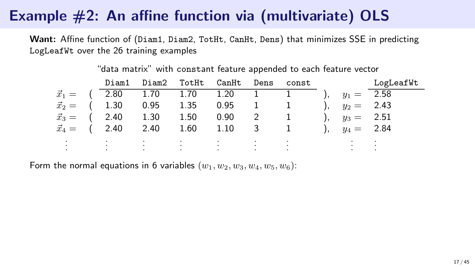Want: Affine function of (Diam1, Diam2, TotHt, CanHt, Dens) that minimizes SSE in predicting LogLeafWt over the 26 training examples

|  |                                                                                                |  |  |                                   | Diam1 Diam2 TotHt CanHt Dens const         LogLeafWt |
|--|------------------------------------------------------------------------------------------------|--|--|-----------------------------------|------------------------------------------------------|
|  | $\vec{x}_1 = (2.80 \quad 1.70 \quad 1.70 \quad 1.20 \quad 1 \quad 1)$ , $y_1 = 2.58$           |  |  |                                   |                                                      |
|  | $\vec{x}_2 = (1.30 \t 0.95 \t 1.35 \t 0.95 \t 1 \t 1), y_2 = 2.43$                             |  |  |                                   |                                                      |
|  | $\vec{x}_3 = (2.40 \quad 1.30 \quad 1.50 \quad 0.90 \quad 2 \quad 1 \quad ), \quad y_3 = 2.51$ |  |  |                                   |                                                      |
|  | $\vec{x}_4 = (2.40 \quad 2.40 \quad 1.60 \quad 1.10 \quad 3 \quad 1 \quad 0, \quad y_4 = 2.84$ |  |  |                                   |                                                      |
|  |                                                                                                |  |  |                                   |                                                      |
|  |                                                                                                |  |  | the control of the control of the |                                                      |

#### "data matrix" with constant feature appended to each feature vector

Form the normal equations in 6 variables  $(w_1, w_2, w_3, w_4, w_5, w_6)$ :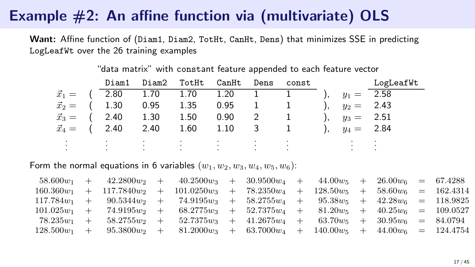Want: Affine function of (Diam1, Diam2, TotHt, CanHt, Dens) that minimizes SSE in predicting LogLeafWt over the 26 training examples

|  |                                                                                                |  |  |  | Diam1 Diam2 TotHt CanHt Dens const          LogLeafWt |
|--|------------------------------------------------------------------------------------------------|--|--|--|-------------------------------------------------------|
|  | $\vec{x}_1 = (2.80 \quad 1.70 \quad 1.70 \quad 1.20 \quad 1 \quad 1)$ , $y_1 = 2.58$           |  |  |  |                                                       |
|  | $\vec{x}_2 = (1.30 \t 0.95 \t 1.35 \t 0.95 \t 1 \t 1), y_2 = 2.43$                             |  |  |  |                                                       |
|  | $\vec{x}_3 = (2.40 \quad 1.30 \quad 1.50 \quad 0.90 \quad 2 \quad 1 \quad ), \quad y_3 = 2.51$ |  |  |  |                                                       |
|  | $\vec{x}_4 = (2.40 \quad 2.40 \quad 1.60 \quad 1.10 \quad 3 \quad 1 \quad 0, \quad y_4 = 2.84$ |  |  |  |                                                       |
|  |                                                                                                |  |  |  |                                                       |
|  |                                                                                                |  |  |  |                                                       |

#### "data matrix" with constant feature appended to each feature vector

Form the normal equations in 6 variables  $(w_1, w_2, w_3, w_4, w_5, w_6)$ :

|  | $58.600w_1 + 42.2800w_2 + 40.2500w_3 + 30.9500w_4 + 44.00w_5 + 26.00w_6 = 67.4288$      |  |  |  |  |  |
|--|-----------------------------------------------------------------------------------------|--|--|--|--|--|
|  | $160.360w_1 + 117.7840w_2 + 101.0250w_3 + 78.2350w_4 + 128.50w_5 + 58.60w_6 = 162.4314$ |  |  |  |  |  |
|  | $117.784w_1 + 90.5344w_2 + 74.9195w_3 + 58.2755w_4 + 95.38w_5 + 42.28w_6 = 118.9825$    |  |  |  |  |  |
|  | $101.025w_1 + 74.9195w_2 + 68.2775w_3 + 52.7375w_4 + 81.20w_5 + 40.25w_6 = 109.0527$    |  |  |  |  |  |
|  | $78.235w_1 + 58.2755w_2 + 52.7375w_3 + 41.2675w_4 + 63.70w_5 + 30.95w_6 = 84.0794$      |  |  |  |  |  |
|  | $128.500w_1 + 95.3800w_2 + 81.2000w_3 + 63.7000w_4 + 140.00w_5 + 44.00w_6 = 124.4754$   |  |  |  |  |  |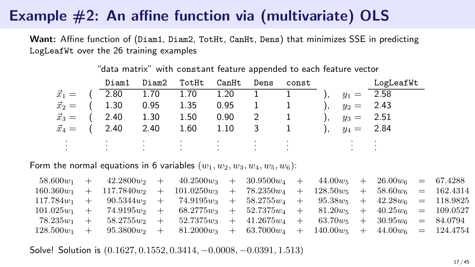Want: Affine function of (Diam1, Diam2, TotHt, CanHt, Dens) that minimizes SSE in predicting LogLeafWt over the 26 training examples

|  |                                                                                                |  |  |  | Diam1 Diam2 TotHt CanHt Dens const          LogLeafWt |
|--|------------------------------------------------------------------------------------------------|--|--|--|-------------------------------------------------------|
|  | $\vec{x}_1 = (2.80 \quad 1.70 \quad 1.70 \quad 1.20 \quad 1 \quad 1)$ , $y_1 = 2.58$           |  |  |  |                                                       |
|  | $\vec{x}_2 = (1.30 \t 0.95 \t 1.35 \t 0.95 \t 1 \t 1), y_2 = 2.43$                             |  |  |  |                                                       |
|  | $\vec{x}_3 = (2.40 \quad 1.30 \quad 1.50 \quad 0.90 \quad 2 \quad 1 \quad ), \quad y_3 = 2.51$ |  |  |  |                                                       |
|  | $\vec{x}_4 = (2.40 \quad 2.40 \quad 1.60 \quad 1.10 \quad 3 \quad 1 \quad 0, \quad y_4 = 2.84$ |  |  |  |                                                       |
|  |                                                                                                |  |  |  |                                                       |
|  |                                                                                                |  |  |  |                                                       |

#### "data matrix" with constant feature appended to each feature vector

Form the normal equations in 6 variables  $(w_1, w_2, w_3, w_4, w_5, w_6)$ :

|  | $58.600w_1 + 42.2800w_2 + 40.2500w_3 + 30.9500w_4 + 44.00w_5 + 26.00w_6 = 67.4288$      |  |  |  |  |  |
|--|-----------------------------------------------------------------------------------------|--|--|--|--|--|
|  | $160.360w_1 + 117.7840w_2 + 101.0250w_3 + 78.2350w_4 + 128.50w_5 + 58.60w_6 = 162.4314$ |  |  |  |  |  |
|  | $117.784w_1 + 90.5344w_2 + 74.9195w_3 + 58.2755w_4 + 95.38w_5 + 42.28w_6 = 118.9825$    |  |  |  |  |  |
|  | $101.025w_1 + 74.9195w_2 + 68.2775w_3 + 52.7375w_4 + 81.20w_5 + 40.25w_6 = 109.0527$    |  |  |  |  |  |
|  | $78.235w_1 + 58.2755w_2 + 52.7375w_3 + 41.2675w_4 + 63.70w_5 + 30.95w_6 = 84.0794$      |  |  |  |  |  |
|  | $128.500w_1 + 95.3800w_2 + 81.2000w_3 + 63.7000w_4 + 140.00w_5 + 44.00w_6 = 124.4754$   |  |  |  |  |  |

Solve! Solution is (0.1627, 0.1552, 0.3414, −0.0008, −0.0391, 1.513)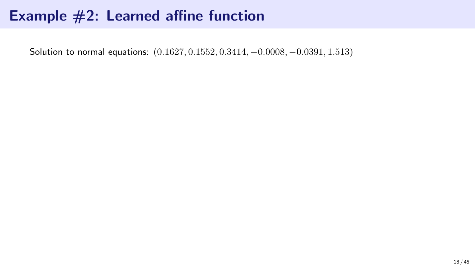Solution to normal equations: (0.1627, 0.1552, 0.3414, −0.0008, −0.0391, 1.513)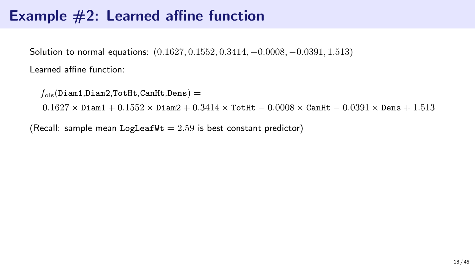Solution to normal equations: (0.1627, 0.1552, 0.3414, −0.0008, −0.0391, 1.513)

Learned affine function:

```
f_{ols}(Diam1,Diam2,TotHt,CanHt,Dens) =
```
 $0.1627 \times$  Diam1 +  $0.1552 \times$  Diam2 +  $0.3414 \times$  TotHt  $-$  0.0008  $\times$  CanHt  $-$  0.0391  $\times$  Dens + 1.513

(Recall: sample mean  $\overline{\text{LogLeafWt}} = 2.59$  is best constant predictor)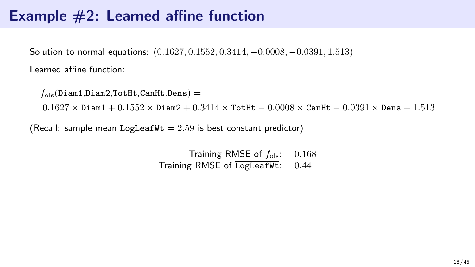Solution to normal equations: (0.1627, 0.1552, 0.3414, −0.0008, −0.0391, 1.513)

Learned affine function:

 $f_{\text{ols}}(\text{Diam1},\text{Diam2},\text{Totht},\text{CanHt},\text{Dens}) =$ 

 $0.1627 \times$  Diam1 +  $0.1552 \times$  Diam2 +  $0.3414 \times$  TotHt  $-$  0.0008  $\times$  CanHt  $-$  0.0391  $\times$  Dens + 1.513

(Recall: sample mean  $\overline{\text{LogLeafWt}} = 2.59$  is best constant predictor)

Training RMSE of  $f_{\text{ols}}$ : 0.168 Training RMSE of LogLeafWt: 0.44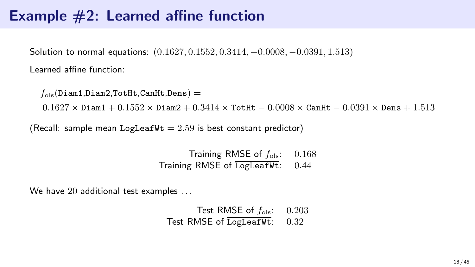Solution to normal equations: (0.1627, 0.1552, 0.3414, −0.0008, −0.0391, 1.513)

Learned affine function:

 $f_{\text{ols}}(\text{Diam1},\text{Diam2},\text{Totht},\text{CanHt},\text{Dens}) =$ 

 $0.1627 \times$  Diam1 +  $0.1552 \times$  Diam2 +  $0.3414 \times$  TotHt  $-$  0.0008  $\times$  CanHt  $-$  0.0391  $\times$  Dens + 1.513

(Recall: sample mean  $\overline{\text{LogLeafWt}} = 2.59$  is best constant predictor)

Training RMSE of  $f_{\text{ols}}$ : 0.168 Training RMSE of LogLeafWt: 0.44

We have 20 additional test examples ...

Test RMSE of  $f_{\text{ols}}$ : 0.203 Test RMSE of LogLeafWt: 0.32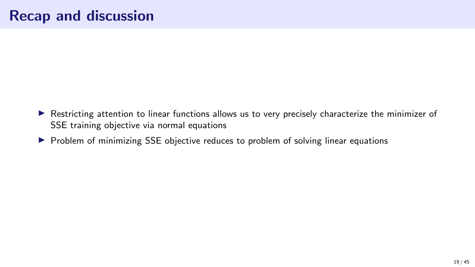- ▶ Restricting attention to linear functions allows us to very precisely characterize the minimizer of SSE training objective via normal equations
- ▶ Problem of minimizing SSE objective reduces to problem of solving linear equations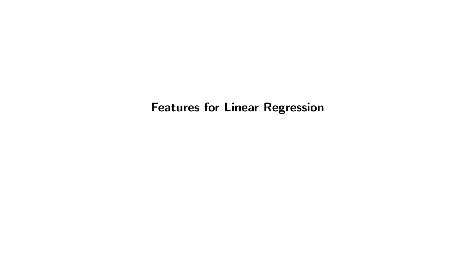Features for Linear Regression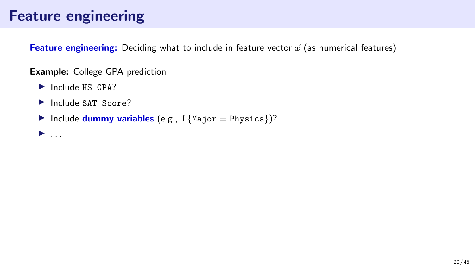## Feature engineering

Feature engineering: Deciding what to include in feature vector  $\vec{x}$  (as numerical features)

Example: College GPA prediction

- ▶ Include HS GPA?
- ▶ Include SAT Score?
- $\blacktriangleright$  Include dummy variables (e.g.,  $1$ {Major = Physics})?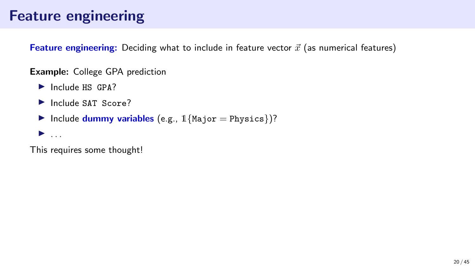## Feature engineering

**Feature engineering:** Deciding what to include in feature vector  $\vec{x}$  (as numerical features)

Example: College GPA prediction

- ▶ Include HS GPA?
- ▶ Include SAT Score?
- $\blacktriangleright$  Include dummy variables (e.g.,  $1$ {Major = Physics})?

 $\blacktriangleright$  . . . .

This requires some thought!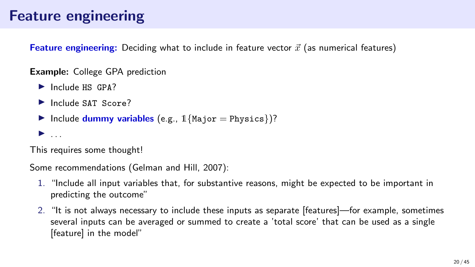## Feature engineering

**Feature engineering:** Deciding what to include in feature vector  $\vec{x}$  (as numerical features)

Example: College GPA prediction

- ▶ Include HS GP4?
- ▶ Include SAT Score?
- $\blacktriangleright$  Include dummy variables (e.g.,  $1$ {Major = Physics})?

 $\blacktriangleright$  ...

This requires some thought!

Some recommendations (Gelman and Hill, 2007):

- 1. "Include all input variables that, for substantive reasons, might be expected to be important in predicting the outcome"
- 2. "It is not always necessary to include these inputs as separate [features]—for example, sometimes several inputs can be averaged or summed to create a 'total score' that can be used as a single [feature] in the model"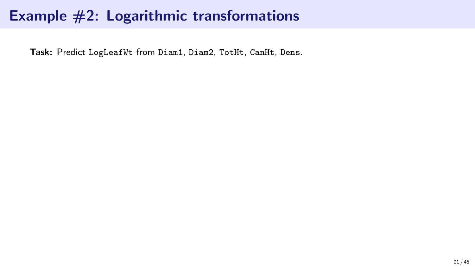Task: Predict LogLeafWt from Diam1, Diam2, TotHt, CanHt, Dens.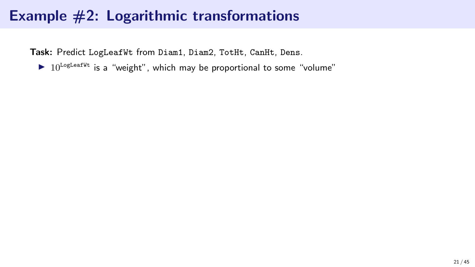Task: Predict LogLeafWt from Diam1, Diam2, TotHt, CanHt, Dens.

 $\triangleright$  10<sup>LogLeafWt</sup> is a "weight", which may be proportional to some "volume"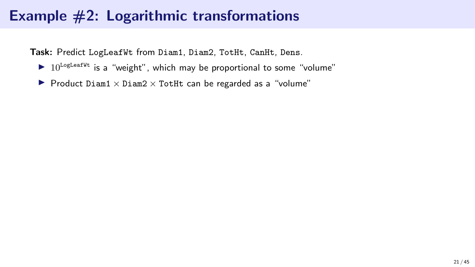Task: Predict LogLeafWt from Diam1, Diam2, TotHt, CanHt, Dens.

- $\triangleright$  10<sup>LogLeafWt</sup> is a "weight", which may be proportional to some "volume"
- ▶ Product Diam1  $\times$  Diam2  $\times$  TotHt can be regarded as a "volume"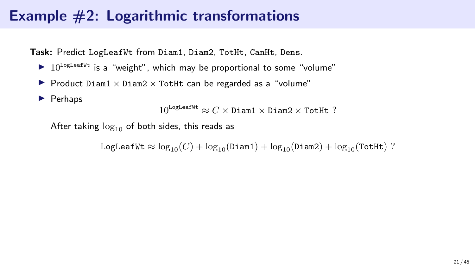Task: Predict LogLeafWt from Diam1, Diam2, TotHt, CanHt, Dens.

- $\triangleright$  10<sup>LogLeafWt</sup> is a "weight", which may be proportional to some "volume"
- ▶ Product Diam1  $\times$  Diam2  $\times$  TotHt can be regarded as a "volume"
- ▶ Perhaps

 $10^{\text{LogLeafWt}} \approx C \times \text{Diam1} \times \text{Diam2} \times \text{TotHt}$ ?

After taking  $log_{10}$  of both sides, this reads as

LogLeafWt  $\approx \log_{10}(C) + \log_{10}(Diam1) + \log_{10}(Diam2) + \log_{10}(TotHit)$ ?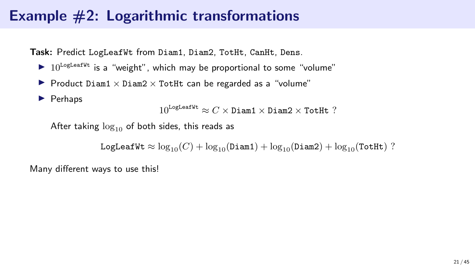Task: Predict LogLeafWt from Diam1, Diam2, TotHt, CanHt, Dens.

- $\triangleright$  10<sup>LogLeafWt</sup> is a "weight", which may be proportional to some "volume"
- ▶ Product Diam1  $\times$  Diam2  $\times$  TotHt can be regarded as a "volume"
- ▶ Perhaps

 $10^{\text{LogLeafWt}} \approx C \times \text{Diam1} \times \text{Diam2} \times \text{TotHt}$ ?

After taking  $log_{10}$  of both sides, this reads as

LogLeafWt  $\approx \log_{10}(C) + \log_{10}(Diam1) + \log_{10}(Diam2) + \log_{10}(TotHit)$ ?

Many different ways to use this!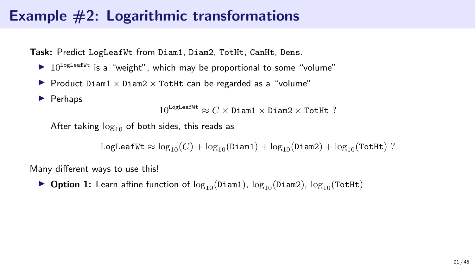Task: Predict LogLeafWt from Diam1, Diam2, TotHt, CanHt, Dens.

- $\triangleright$  10<sup>LogLeafWt</sup> is a "weight", which may be proportional to some "volume"
- ▶ Product Diam1  $\times$  Diam2  $\times$  TotHt can be regarded as a "volume"
- ▶ Perhaps

 $10^{\text{LogLeafWt}} \approx C \times \text{Diam1} \times \text{Diam2} \times \text{TotHt}$  ?

After taking  $log_{10}$  of both sides, this reads as

LogLeafWt  $\approx \log_{10}(C) + \log_{10}(Diam1) + \log_{10}(Diam2) + \log_{10}(TotHit)$ ?

Many different ways to use this!

▶ Option 1: Learn affine function of  $\log_{10}(Diam1)$ ,  $\log_{10}(Diam2)$ ,  $\log_{10}(TotHit)$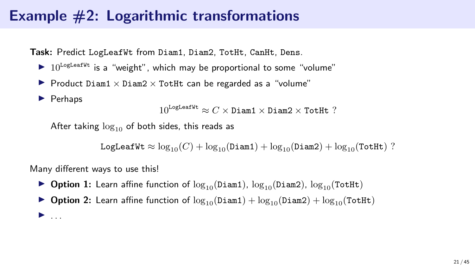Task: Predict LogLeafWt from Diam1, Diam2, TotHt, CanHt, Dens.

- $\triangleright$  10<sup>LogLeafWt</sup> is a "weight", which may be proportional to some "volume"
- ▶ Product Diam1  $\times$  Diam2  $\times$  TotHt can be regarded as a "volume"
- ▶ Perhaps

 $\blacktriangleright$  ...

 $10^{\text{LogLeafWt}} \approx C \times \text{Diam1} \times \text{Diam2} \times \text{TotHt}$  ?

After taking  $log_{10}$  of both sides, this reads as

LogLeafWt  $\approx \log_{10}(C) + \log_{10}(Diam1) + \log_{10}(Diam2) + \log_{10}(TotHit)$ ?

Many different ways to use this!

- ▶ Option 1: Learn affine function of  $\log_{10}(Diam1)$ ,  $\log_{10}(Diam2)$ ,  $\log_{10}(TotHit)$
- ▶ Option 2: Learn affine function of  $\log_{10}(Diam1) + \log_{10}(Diam2) + \log_{10}(TotHit)$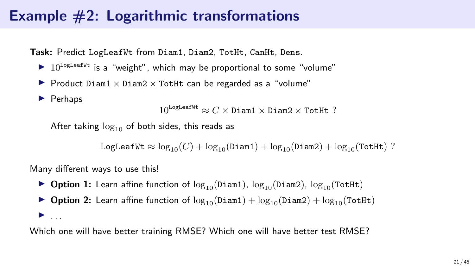Task: Predict LogLeafWt from Diam1, Diam2, TotHt, CanHt, Dens.

- $\triangleright$  10<sup>LogLeafWt</sup> is a "weight", which may be proportional to some "volume"
- ▶ Product Diam1  $\times$  Diam2  $\times$  TotHt can be regarded as a "volume"
- ▶ Perhaps

 $10^{\text{LogLeafWt}} \approx C \times \text{Diam1} \times \text{Diam2} \times \text{TotHt}$  ?

After taking  $log_{10}$  of both sides, this reads as

LogLeafWt  $\approx \log_{10}(C) + \log_{10}(Diam1) + \log_{10}(Diam2) + \log_{10}(TotHit)$ ?

Many different ways to use this!

- ▶ Option 1: Learn affine function of  $\log_{10}(Diam1)$ ,  $\log_{10}(Diam2)$ ,  $\log_{10}(TotHit)$
- ▶ Option 2: Learn affine function of  $\log_{10}(Diam1) + \log_{10}(Diam2) + \log_{10}(TotHit)$  $\blacktriangleright$  . . . .

Which one will have better training RMSE? Which one will have better test RMSE?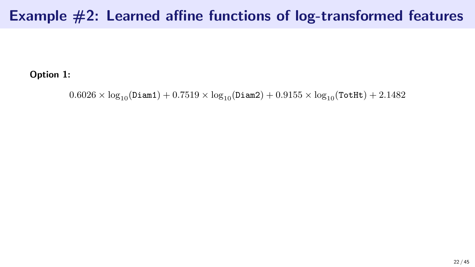### Example #2: Learned affine functions of log-transformed features

Option 1:

 $0.6026 \times \log_{10}(\text{Diam1}) + 0.7519 \times \log_{10}(\text{Diam2}) + 0.9155 \times \log_{10}(\text{TotHt}) + 2.1482$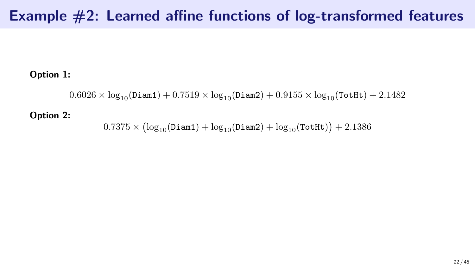## Example #2: Learned affine functions of log-transformed features

#### Option 1:

 $0.6026 \times \log_{10}(\text{Diam1}) + 0.7519 \times \log_{10}(\text{Diam2}) + 0.9155 \times \log_{10}(\text{TotHt}) + 2.1482$ 

#### Option 2:

 $0.7375 \times \left( \log_{10}(\texttt{Diam1}) + \log_{10}(\texttt{Diam2}) + \log_{10}(\texttt{TotHt}) \right) + 2.1386$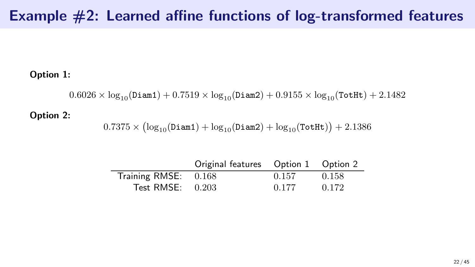## Example #2: Learned affine functions of log-transformed features

#### Option 1:

 $0.6026 \times \log_{10}(\text{Diam1}) + 0.7519 \times \log_{10}(\text{Diam2}) + 0.9155 \times \log_{10}(\text{TotHt}) + 2.1482$ 

#### Option 2:

 $0.7375 \times \left( \log_{10}(\texttt{Diam1}) + \log_{10}(\texttt{Diam2}) + \log_{10}(\texttt{TotHt}) \right) + 2.1386$ 

|                      | Original features  Option 1  Option 2 |       |       |
|----------------------|---------------------------------------|-------|-------|
| Training RMSE: 0.168 |                                       | 0.157 | 0.158 |
| Test RMSE: $0.203$   |                                       | 0.177 | 0.172 |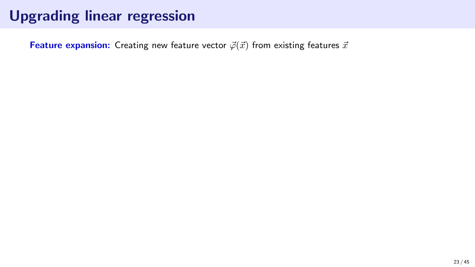**Feature expansion:** Creating new feature vector  $\vec{\varphi}(\vec{x})$  from existing features  $\vec{x}$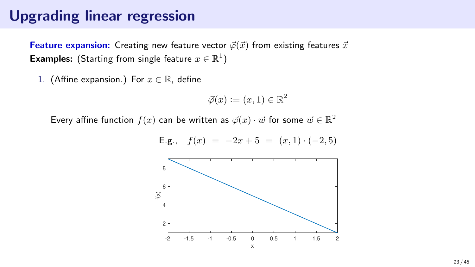Feature expansion: Creating new feature vector  $\vec{\varphi}(\vec{x})$  from existing features  $\vec{x}$ **Examples:** (Starting from single feature  $x \in \mathbb{R}^1$ )

1. (Affine expansion.) For  $x \in \mathbb{R}$ , define

$$
\vec{\varphi}(x) := (x, 1) \in \mathbb{R}^2
$$

Every affine function  $f(x)$  can be written as  $\vec{\varphi}(x) \cdot \vec{w}$  for some  $\vec{w} \in \mathbb{R}^2$ 



E.g., 
$$
f(x) = -2x + 5 = (x, 1) \cdot (-2, 5)
$$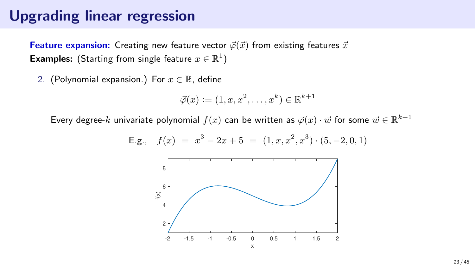**Feature expansion:** Creating new feature vector  $\vec{\varphi}(\vec{x})$  from existing features  $\vec{x}$ **Examples:** (Starting from single feature  $x \in \mathbb{R}^1$ )

2. (Polynomial expansion.) For  $x \in \mathbb{R}$ , define

$$
\vec{\varphi}(x) := (1, x, x^2, \dots, x^k) \in \mathbb{R}^{k+1}
$$

Every degree- $k$  univariate polynomial  $f(x)$  can be written as  $\vec{\varphi}(x)\cdot\vec{w}$  for some  $\vec{w}\in\mathbb{R}^{k+1}$ 

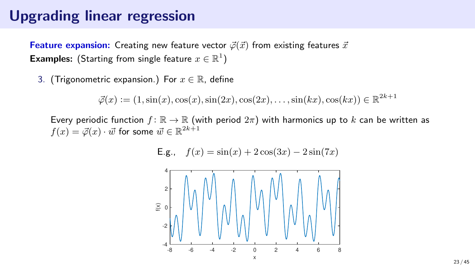**Feature expansion:** Creating new feature vector  $\vec{\varphi}(\vec{x})$  from existing features  $\vec{x}$ **Examples:** (Starting from single feature  $x \in \mathbb{R}^1$ )

3. (Trigonometric expansion.) For  $x \in \mathbb{R}$ , define

 $\vec{\varphi}(x) := (1, \sin(x), \cos(x), \sin(2x), \cos(2x), \dots, \sin(kx), \cos(kx)) \in \mathbb{R}^{2k+1}$ 

Every periodic function  $f: \mathbb{R} \to \mathbb{R}$  (with period  $2\pi$ ) with harmonics up to k can be written as  $f(x) = \vec{\varphi}(x) \cdot \vec{w}$  for some  $\vec{w} \in \mathbb{R}^{2k+1}$ 

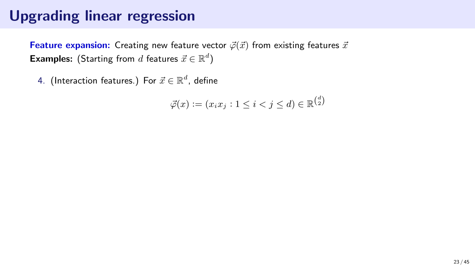**Feature expansion:** Creating new feature vector  $\vec{\varphi}(\vec{x})$  from existing features  $\vec{x}$ **Examples:** (Starting from  $d$  features  $\vec{x} \in \mathbb{R}^d$ )

4. (Interaction features.) For  $\vec{x} \in \mathbb{R}^d$ , define

$$
\vec{\varphi}(x) := (x_i x_j : 1 \le i < j \le d) \in \mathbb{R}^{\binom{d}{2}}
$$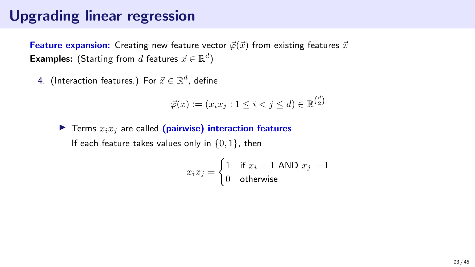**Feature expansion:** Creating new feature vector  $\vec{\varphi}(\vec{x})$  from existing features  $\vec{x}$ **Examples:** (Starting from  $d$  features  $\vec{x} \in \mathbb{R}^d$ )

4. (Interaction features.) For  $\vec{x} \in \mathbb{R}^d$ , define

$$
\vec{\varphi}(x) := (x_i x_j : 1 \le i < j \le d) \in \mathbb{R}^{\binom{d}{2}}
$$

 $\blacktriangleright$  Terms  $x_i x_j$  are called (pairwise) interaction features If each feature takes values only in  $\{0, 1\}$ , then

$$
x_i x_j = \begin{cases} 1 & \text{if } x_i = 1 \text{ AND } x_j = 1 \\ 0 & \text{otherwise} \end{cases}
$$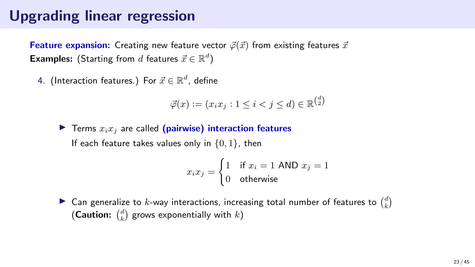**Feature expansion:** Creating new feature vector  $\vec{\varphi}(\vec{x})$  from existing features  $\vec{x}$ **Examples:** (Starting from  $d$  features  $\vec{x} \in \mathbb{R}^d$ )

4. (Interaction features.) For  $\vec{x} \in \mathbb{R}^d$ , define

$$
\vec{\varphi}(x) := (x_i x_j : 1 \le i < j \le d) \in \mathbb{R}^{\binom{d}{2}}
$$

 $\blacktriangleright$  Terms  $x_i x_j$  are called (pairwise) interaction features If each feature takes values only in  $\{0, 1\}$ , then

$$
x_i x_j = \begin{cases} 1 & \text{if } x_i = 1 \text{ AND } x_j = 1 \\ 0 & \text{otherwise} \end{cases}
$$

 $\blacktriangleright$  Can generalize to k-way interactions, increasing total number of features to  $\binom{d}{k}$ (Caution:  $\binom{d}{k}$  grows exponentially with  $k$ )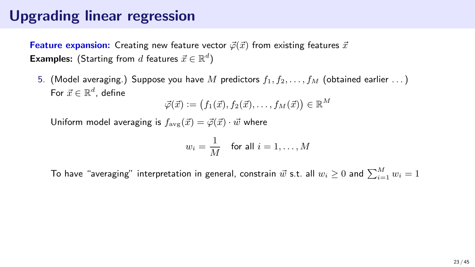**Feature expansion:** Creating new feature vector  $\vec{\varphi}(\vec{x})$  from existing features  $\vec{x}$ **Examples:** (Starting from  $d$  features  $\vec{x} \in \mathbb{R}^d$ )

5. (Model averaging.) Suppose you have M predictors  $f_1, f_2, \ldots, f_M$  (obtained earlier ...) For  $\vec{x} \in \mathbb{R}^d$ , define

 $\vec{\varphi}(\vec{x}) \vcentcolon= \bigl(f_1(\vec{x}), f_2(\vec{x}), \ldots, f_M(\vec{x})\bigr) \in \mathbb{R}^M$ 

Uniform model averaging is  $f_{\text{avg}}(\vec{x}) = \vec{\varphi}(\vec{x}) \cdot \vec{w}$  where

$$
w_i = \frac{1}{M} \quad \text{for all } i = 1, \dots, M
$$

To have "averaging" interpretation in general, constrain  $\vec w$  s.t. all  $w_i\geq 0$  and  $\sum_{i=1}^M w_i=1$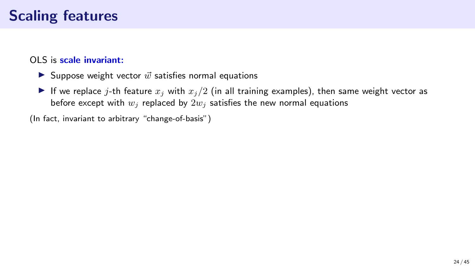#### OLS is scale invariant:

- ▶ Suppose weight vector  $\vec{w}$  satisfies normal equations
- If we replace j-th feature  $x_j$  with  $x_j/2$  (in all training examples), then same weight vector as before except with  $w_i$  replaced by  $2w_i$  satisfies the new normal equations

(In fact, invariant to arbitrary "change-of-basis")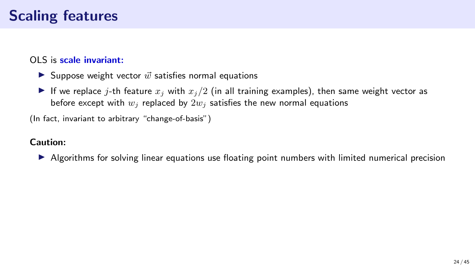#### OLS is scale invariant:

- $\blacktriangleright$  Suppose weight vector  $\vec{w}$  satisfies normal equations
- If we replace j-th feature  $x_j$  with  $x_j/2$  (in all training examples), then same weight vector as before except with  $w_i$  replaced by  $2w_i$  satisfies the new normal equations

(In fact, invariant to arbitrary "change-of-basis")

#### Caution:

▶ Algorithms for solving linear equations use floating point numbers with limited numerical precision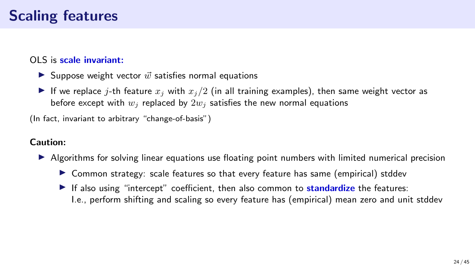#### OLS is scale invariant:

- $\blacktriangleright$  Suppose weight vector  $\vec{w}$  satisfies normal equations
- If we replace j-th feature  $x_j$  with  $x_j/2$  (in all training examples), then same weight vector as before except with  $w_i$  replaced by  $2w_i$  satisfies the new normal equations

(In fact, invariant to arbitrary "change-of-basis")

#### Caution:

- ▶ Algorithms for solving linear equations use floating point numbers with limited numerical precision
	- ▶ Common strategy: scale features so that every feature has same (empirical) stddev
	- $\blacktriangleright$  If also using "intercept" coefficient, then also common to **standardize** the features: I.e., perform shifting and scaling so every feature has (empirical) mean zero and unit stddev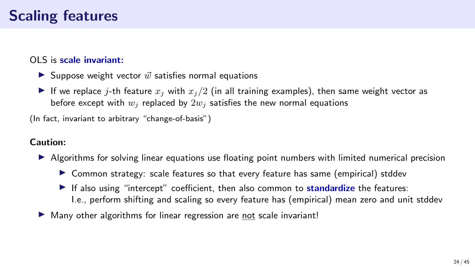#### OLS is scale invariant:

- $\blacktriangleright$  Suppose weight vector  $\vec{w}$  satisfies normal equations
- If we replace j-th feature  $x_j$  with  $x_j/2$  (in all training examples), then same weight vector as before except with  $w_i$  replaced by  $2w_i$  satisfies the new normal equations

(In fact, invariant to arbitrary "change-of-basis")

#### Caution:

- ▶ Algorithms for solving linear equations use floating point numbers with limited numerical precision
	- ▶ Common strategy: scale features so that every feature has same (empirical) stddev
	- $\blacktriangleright$  If also using "intercept" coefficient, then also common to **standardize** the features: I.e., perform shifting and scaling so every feature has (empirical) mean zero and unit stddev
- ▶ Many other algorithms for linear regression are not scale invariant!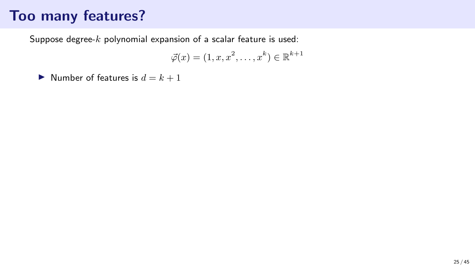Suppose degree-k polynomial expansion of a scalar feature is used:

$$
\vec{\varphi}(x) = (1, x, x^2, \dots, x^k) \in \mathbb{R}^{k+1}
$$

 $\triangleright$  Number of features is  $d = k + 1$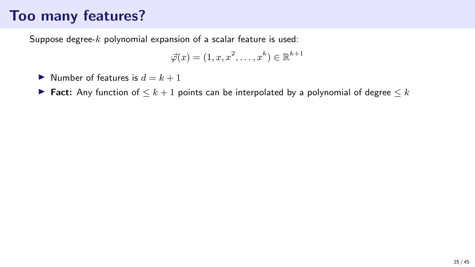Suppose degree- $k$  polynomial expansion of a scalar feature is used:

$$
\vec{\varphi}(x) = (1, x, x^2, \dots, x^k) \in \mathbb{R}^{k+1}
$$

- $\triangleright$  Number of features is  $d = k + 1$
- ▶ Fact: Any function of  $\leq k+1$  points can be interpolated by a polynomial of degree  $\leq k$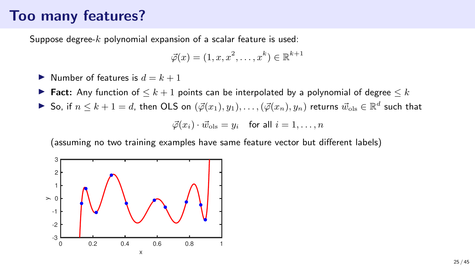Suppose degree- $k$  polynomial expansion of a scalar feature is used:

$$
\vec{\varphi}(x) = (1, x, x^2, \dots, x^k) \in \mathbb{R}^{k+1}
$$

- $\triangleright$  Number of features is  $d = k + 1$
- ▶ Fact: Any function of  $\leq k+1$  points can be interpolated by a polynomial of degree  $\leq k$
- ▶ So, if  $n \leq k+1=d$ , then OLS on  $(\vec{\varphi}(x_1), y_1), \ldots, (\vec{\varphi}(x_n), y_n)$  returns  $\vec{w}_{\text{ols}} \in \mathbb{R}^d$  such that

$$
\vec{\varphi}(x_i) \cdot \vec{w}_{\text{ols}} = y_i \quad \text{for all } i = 1, \dots, n
$$

(assuming no two training examples have same feature vector but different labels)

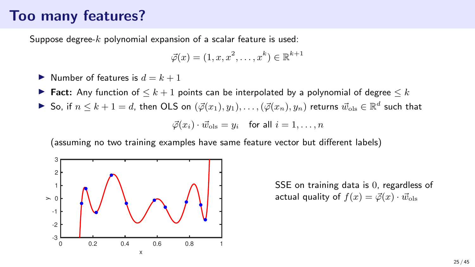Suppose degree- $k$  polynomial expansion of a scalar feature is used:

$$
\vec{\varphi}(x) = (1, x, x^2, \dots, x^k) \in \mathbb{R}^{k+1}
$$

- $\triangleright$  Number of features is  $d = k + 1$
- ▶ Fact: Any function of  $\leq k+1$  points can be interpolated by a polynomial of degree  $\leq k$
- ▶ So, if  $n \leq k+1=d$ , then OLS on  $(\vec{\varphi}(x_1), y_1), \ldots, (\vec{\varphi}(x_n), y_n)$  returns  $\vec{w}_{\text{ols}} \in \mathbb{R}^d$  such that

$$
\vec{\varphi}(x_i) \cdot \vec{w}_{\text{ols}} = y_i \quad \text{for all } i = 1, \dots, n
$$

(assuming no two training examples have same feature vector but different labels)



SSE on training data is 0, regardless of actual quality of  $f(x) = \vec{\varphi}(x) \cdot \vec{w}_{\text{ols}}$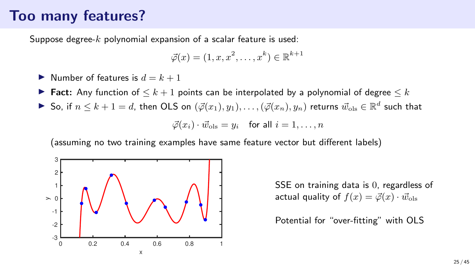Suppose degree- $k$  polynomial expansion of a scalar feature is used:

$$
\vec{\varphi}(x) = (1, x, x^2, \dots, x^k) \in \mathbb{R}^{k+1}
$$

- $\triangleright$  Number of features is  $d = k + 1$
- ► Fact: Any function of  $\leq k+1$  points can be interpolated by a polynomial of degree  $\leq k$
- ▶ So, if  $n \leq k+1=d$ , then OLS on  $(\vec{\varphi}(x_1), y_1), \ldots, (\vec{\varphi}(x_n), y_n)$  returns  $\vec{w}_{\text{ols}} \in \mathbb{R}^d$  such that

$$
\vec{\varphi}(x_i) \cdot \vec{w}_{\text{ols}} = y_i \quad \text{for all } i = 1, \dots, n
$$

(assuming no two training examples have same feature vector but different labels)



SSE on training data is 0, regardless of actual quality of  $f(x) = \vec{\varphi}(x) \cdot \vec{w}_{\text{ols}}$ 

Potential for "over-fitting" with OLS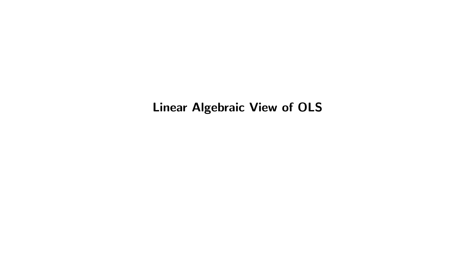Linear Algebraic View of OLS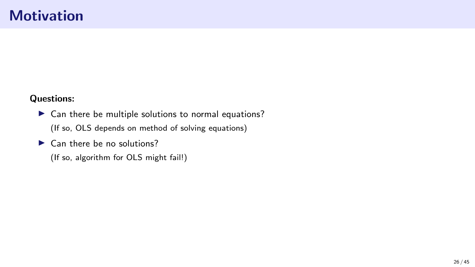#### **Motivation**

#### Questions:

▶ Can there be multiple solutions to normal equations? (If so, OLS depends on method of solving equations)

 $\blacktriangleright$  Can there be no solutions?

(If so, algorithm for OLS might fail!)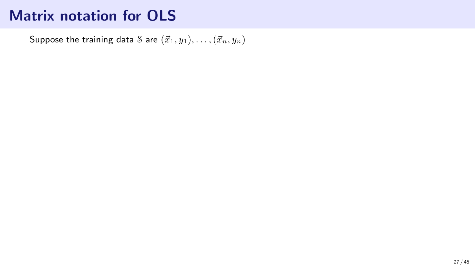Suppose the training data S are  $(\vec{x}_1, y_1), \ldots, (\vec{x}_n, y_n)$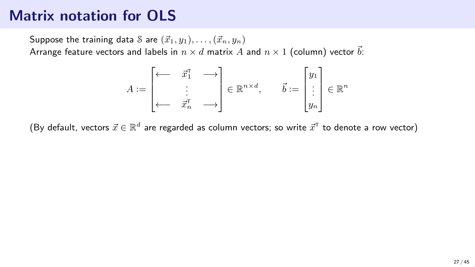Suppose the training data S are  $(\vec{x}_1, y_1), \ldots, (\vec{x}_n, y_n)$ Arrange feature vectors and labels in  $n \times d$  matrix A and  $n \times 1$  (column) vector  $\vec{b}$ :

$$
A:=\begin{bmatrix} \longleftarrow & \vec{x}_1^{\mathsf{T}} & \longrightarrow \\ & \vdots & \\ \longleftarrow & \vec{x}_n^{\mathsf{T}} & \longrightarrow \end{bmatrix} \in \mathbb{R}^{n \times d}, \qquad \vec{b}:=\begin{bmatrix} y_1 \\ \vdots \\ y_n \end{bmatrix} \in \mathbb{R}^n
$$

(By default, vectors  $\vec{x} \in \mathbb{R}^d$  are regarded as column vectors; so write  $\vec{x}^\text{\tiny T}$  to denote a row vector)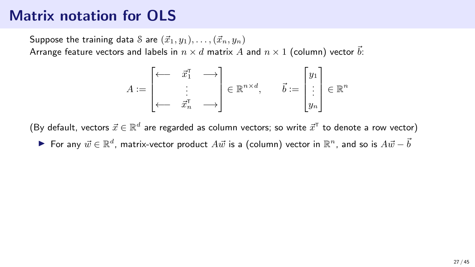Suppose the training data S are  $(\vec{x}_1, y_1), \ldots, (\vec{x}_n, y_n)$ Arrange feature vectors and labels in  $n \times d$  matrix A and  $n \times 1$  (column) vector  $\vec{b}$ :

$$
A:=\begin{bmatrix} \longleftarrow & \vec{x}_1^{\mathsf{T}} & \longrightarrow \\ & \vdots & \\ \longleftarrow & \vec{x}_n^{\mathsf{T}} & \longrightarrow \end{bmatrix} \in \mathbb{R}^{n \times d}, \qquad \vec{b}:=\begin{bmatrix} y_1 \\ \vdots \\ y_n \end{bmatrix} \in \mathbb{R}^n
$$

(By default, vectors  $\vec{x} \in \mathbb{R}^d$  are regarded as column vectors; so write  $\vec{x}^\text{\tiny T}$  to denote a row vector) ▶ For any  $\vec{w} \in \mathbb{R}^d$ , matrix-vector product  $A\vec{w}$  is a (column) vector in  $\mathbb{R}^n$ , and so is  $A\vec{w} - \vec{b}$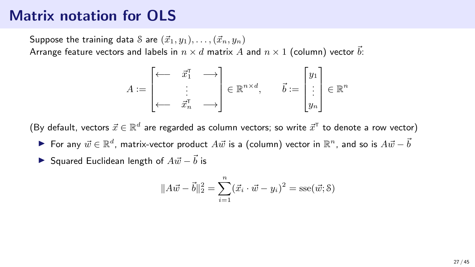Suppose the training data S are  $(\vec{x}_1, y_1), \ldots, (\vec{x}_n, y_n)$ Arrange feature vectors and labels in  $n \times d$  matrix A and  $n \times 1$  (column) vector  $\vec{b}$ :

$$
A \coloneqq \begin{bmatrix} \longleftarrow & \vec{x}_1^{\mathsf{T}} & \longrightarrow \\ & \vdots & \\ \longleftarrow & \vec{x}_n^{\mathsf{T}} & \longrightarrow \end{bmatrix} \in \mathbb{R}^{n \times d}, \qquad \vec{b} \coloneqq \begin{bmatrix} y_1 \\ \vdots \\ y_n \end{bmatrix} \in \mathbb{R}^n
$$

(By default, vectors  $\vec{x} \in \mathbb{R}^d$  are regarded as column vectors; so write  $\vec{x}^\text{\tiny T}$  to denote a row vector)

- ▶ For any  $\vec{w} \in \mathbb{R}^d$ , matrix-vector product  $A\vec{w}$  is a (column) vector in  $\mathbb{R}^n$ , and so is  $A\vec{w} \vec{b}$
- ▶ Squared Euclidean length of  $A\vec{w} \vec{b}$  is

$$
||A\vec{w} - \vec{b}||_2^2 = \sum_{i=1}^n (\vec{x}_i \cdot \vec{w} - y_i)^2 = \text{sse}(\vec{w}; \delta)
$$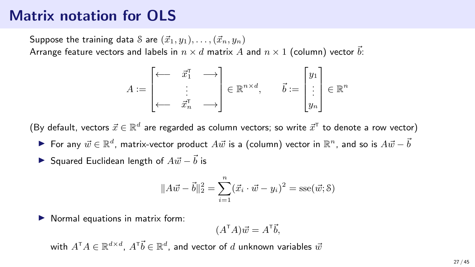Suppose the training data S are  $(\vec{x}_1, y_1), \ldots, (\vec{x}_n, y_n)$ Arrange feature vectors and labels in  $n \times d$  matrix A and  $n \times 1$  (column) vector  $\vec{b}$ :

$$
A \coloneqq \begin{bmatrix} \longleftarrow & \vec{x}_1^{\mathsf{T}} & \longrightarrow \\ & \vdots & \\ \longleftarrow & \vec{x}_n^{\mathsf{T}} & \longrightarrow \end{bmatrix} \in \mathbb{R}^{n \times d}, \qquad \vec{b} \coloneqq \begin{bmatrix} y_1 \\ \vdots \\ y_n \end{bmatrix} \in \mathbb{R}^n
$$

(By default, vectors  $\vec{x} \in \mathbb{R}^d$  are regarded as column vectors; so write  $\vec{x}^\text{\tiny T}$  to denote a row vector)

▶ For any  $\vec{w} \in \mathbb{R}^d$ , matrix-vector product  $A\vec{w}$  is a (column) vector in  $\mathbb{R}^n$ , and so is  $A\vec{w} - \vec{b}$ 

▶ Squared Euclidean length of 
$$
A\vec{w} - \vec{b}
$$
 is

$$
||A\vec{w} - \vec{b}||_2^2 = \sum_{i=1}^n (\vec{x}_i \cdot \vec{w} - y_i)^2 = \text{sse}(\vec{w}; \delta)
$$

▶ Normal equations in matrix form:

$$
(A^{\mathsf{T}}A)\vec{w} = A^{\mathsf{T}}\vec{b},
$$

with  $A^{\scriptscriptstyle\mathsf{T}} A \in \mathbb{R}^{d\times d}$ ,  $A^{\scriptscriptstyle\mathsf{T}} \vec{b} \in \mathbb{R}^d$ , and vector of  $d$  unknown variables  $\vec{w}$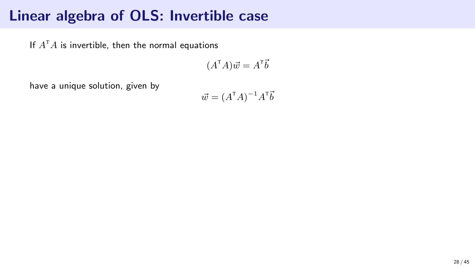If  $A^\intercal A$  is invertible, then the normal equations

$$
(A^{\mathsf{T}}A)\vec{w} = A^{\mathsf{T}}\vec{b}
$$

have a unique solution, given by

$$
\vec{w} = (A^{\mathsf{T}}A)^{-1}A^{\mathsf{T}}\vec{b}
$$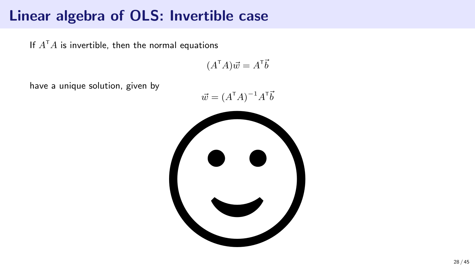If  $A^{\mathsf{T}}A$  is invertible, then the normal equations

$$
(A^{\mathsf{T}}A)\vec{w} = A^{\mathsf{T}}\vec{b}
$$

have a unique solution, given by

$$
\vec{w} = (A^{\mathsf{T}}A)^{-1}A^{\mathsf{T}}\vec{b}
$$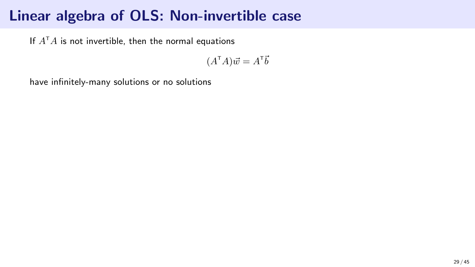If  $A^{\mathsf{T}}A$  is not invertible, then the normal equations

 $(A^{\mathsf{T}}A)\vec{w} = A^{\mathsf{T}}\vec{b}$ 

have infinitely-many solutions or no solutions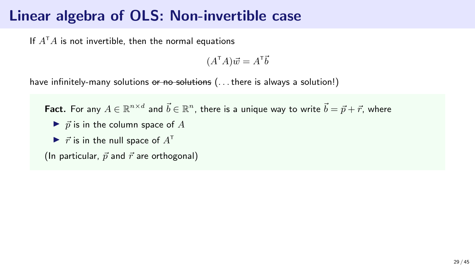If  $A^{\mathsf{T}}A$  is not invertible, then the normal equations

 $(A^{\mathsf{T}}A)\vec{w} = A^{\mathsf{T}}\vec{b}$ 

have infinitely-many solutions or no solutions (... there is always a solution!)

**Fact.** For any  $A\in\mathbb{R}^{n\times d}$  and  $\vec{b}\in\mathbb{R}^n$ , there is a unique way to write  $\vec{b}=\vec{p}+\vec{r}$ , where

- $\triangleright$   $\vec{p}$  is in the column space of A
- $\blacktriangleright$   $\vec{r}$  is in the null space of  $A^{\dagger}$

(In particular,  $\vec{p}$  and  $\vec{r}$  are orthogonal)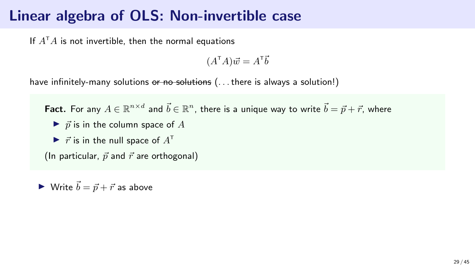If  $A^{\mathsf{T}}A$  is not invertible, then the normal equations

 $(A^{\mathsf{T}}A)\vec{w} = A^{\mathsf{T}}\vec{b}$ 

have infinitely-many solutions or no solutions (... there is always a solution!)

**Fact.** For any  $A\in\mathbb{R}^{n\times d}$  and  $\vec{b}\in\mathbb{R}^n$ , there is a unique way to write  $\vec{b}=\vec{p}+\vec{r}$ , where

- $\triangleright$   $\vec{p}$  is in the column space of A
- $\blacktriangleright$   $\vec{r}$  is in the null space of  $A^{\dagger}$

(In particular,  $\vec{p}$  and  $\vec{r}$  are orthogonal)

▶ Write  $\vec{b} = \vec{p} + \vec{r}$  as above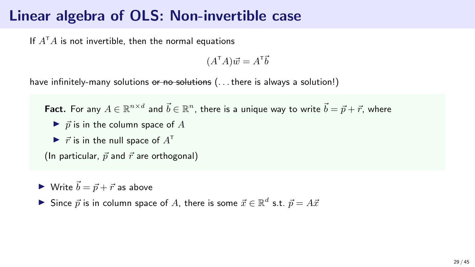If  $A^{\mathsf{T}}A$  is not invertible, then the normal equations

 $(A^{\mathsf{T}}A)\vec{w} = A^{\mathsf{T}}\vec{b}$ 

have infinitely-many solutions or no solutions (... there is always a solution!)

**Fact.** For any  $A\in\mathbb{R}^{n\times d}$  and  $\vec{b}\in\mathbb{R}^n$ , there is a unique way to write  $\vec{b}=\vec{p}+\vec{r}$ , where

- $\triangleright$   $\vec{p}$  is in the column space of A
- $\blacktriangleright$   $\vec{r}$  is in the null space of  $A^{\dagger}$

(In particular,  $\vec{p}$  and  $\vec{r}$  are orthogonal)

 $\blacktriangleright$  Write  $\vec{b} = \vec{p} + \vec{r}$  as above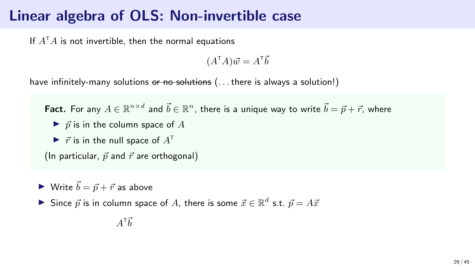If  $A^{\mathsf{T}}A$  is not invertible, then the normal equations

 $(A^{\mathsf{T}}A)\vec{w} = A^{\mathsf{T}}\vec{b}$ 

have infinitely-many solutions or no solutions (... there is always a solution!)

**Fact.** For any  $A\in\mathbb{R}^{n\times d}$  and  $\vec{b}\in\mathbb{R}^n$ , there is a unique way to write  $\vec{b}=\vec{p}+\vec{r}$ , where

- $\blacktriangleright$   $\vec{p}$  is in the column space of A
- $\blacktriangleright$   $\vec{r}$  is in the null space of  $A^{\dagger}$

(In particular,  $\vec{p}$  and  $\vec{r}$  are orthogonal)

 $\blacktriangleright$  Write  $\vec{b} = \vec{p} + \vec{r}$  as above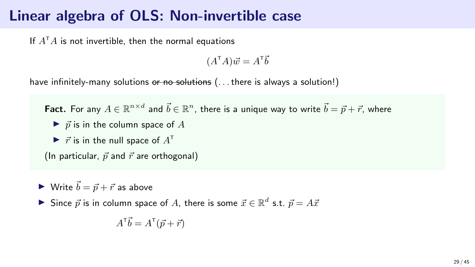If  $A^{\mathsf{T}}A$  is not invertible, then the normal equations

 $(A^{\mathsf{T}}A)\vec{w} = A^{\mathsf{T}}\vec{b}$ 

have infinitely-many solutions or no solutions (... there is always a solution!)

**Fact.** For any  $A\in\mathbb{R}^{n\times d}$  and  $\vec{b}\in\mathbb{R}^n$ , there is a unique way to write  $\vec{b}=\vec{p}+\vec{r}$ , where

- $\triangleright$   $\vec{p}$  is in the column space of A
- $\blacktriangleright$   $\vec{r}$  is in the null space of  $A^{\dagger}$

(In particular,  $\vec{p}$  and  $\vec{r}$  are orthogonal)

 $\blacktriangleright$  Write  $\vec{b} = \vec{p} + \vec{r}$  as above

$$
A^{\mathsf{T}}\vec{b} = A^{\mathsf{T}}(\vec{p} + \vec{r})
$$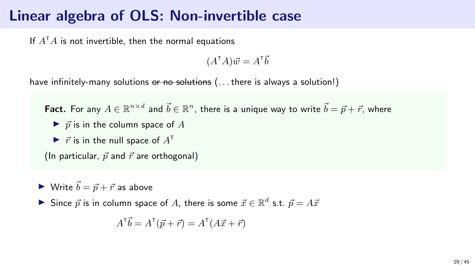If  $A^{\mathsf{T}}A$  is not invertible, then the normal equations

 $(A^{\mathsf{T}}A)\vec{w} = A^{\mathsf{T}}\vec{b}$ 

have infinitely-many solutions or no solutions (... there is always a solution!)

**Fact.** For any  $A\in\mathbb{R}^{n\times d}$  and  $\vec{b}\in\mathbb{R}^n$ , there is a unique way to write  $\vec{b}=\vec{p}+\vec{r}$ , where

- $\triangleright$   $\vec{p}$  is in the column space of A
- $\blacktriangleright$   $\vec{r}$  is in the null space of  $A^{\dagger}$

(In particular,  $\vec{p}$  and  $\vec{r}$  are orthogonal)

 $\blacktriangleright$  Write  $\vec{b} = \vec{p} + \vec{r}$  as above

$$
A^{\mathsf{T}}\vec{b} = A^{\mathsf{T}}(\vec{p} + \vec{r}) = A^{\mathsf{T}}(A\vec{x} + \vec{r})
$$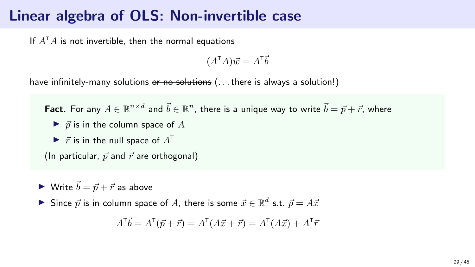If  $A^{\mathsf{T}}A$  is not invertible, then the normal equations

 $(A^{\mathsf{T}}A)\vec{w} = A^{\mathsf{T}}\vec{b}$ 

have infinitely-many solutions or no solutions (... there is always a solution!)

**Fact.** For any  $A\in\mathbb{R}^{n\times d}$  and  $\vec{b}\in\mathbb{R}^n$ , there is a unique way to write  $\vec{b}=\vec{p}+\vec{r}$ , where

- $\triangleright$   $\vec{p}$  is in the column space of A
- $\blacktriangleright$   $\vec{r}$  is in the null space of  $A^{\dagger}$

(In particular,  $\vec{p}$  and  $\vec{r}$  are orthogonal)

 $\blacktriangleright$  Write  $\vec{b} = \vec{p} + \vec{r}$  as above

$$
A^{\mathsf{T}}\vec{b} = A^{\mathsf{T}}(\vec{p} + \vec{r}) = A^{\mathsf{T}}(A\vec{x} + \vec{r}) = A^{\mathsf{T}}(A\vec{x}) + A^{\mathsf{T}}\vec{r}
$$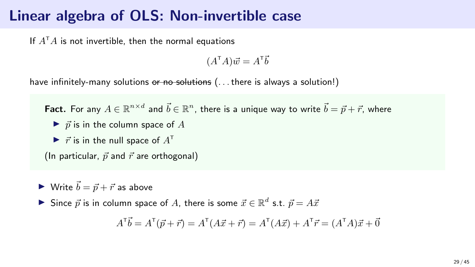#### Linear algebra of OLS: Non-invertible case

If  $A^{\mathsf{T}}A$  is not invertible, then the normal equations

 $(A^{\mathsf{T}}A)\vec{w} = A^{\mathsf{T}}\vec{b}$ 

have infinitely-many solutions or no solutions (... there is always a solution!)

**Fact.** For any  $A\in\mathbb{R}^{n\times d}$  and  $\vec{b}\in\mathbb{R}^n$ , there is a unique way to write  $\vec{b}=\vec{p}+\vec{r}$ , where

- $\triangleright$   $\vec{p}$  is in the column space of A
- $\blacktriangleright$   $\vec{r}$  is in the null space of  $A^{\dagger}$

(In particular,  $\vec{p}$  and  $\vec{r}$  are orthogonal)

 $\blacktriangleright$  Write  $\vec{b} = \vec{p} + \vec{r}$  as above

▶ Since  $\vec{p}$  is in column space of A, there is some  $\vec{x} \in \mathbb{R}^d$  s.t.  $\vec{p} = A\vec{x}$ 

$$
A^{\mathsf{T}}\vec{b} = A^{\mathsf{T}}(\vec{p} + \vec{r}) = A^{\mathsf{T}}(A\vec{x} + \vec{r}) = A^{\mathsf{T}}(A\vec{x}) + A^{\mathsf{T}}\vec{r} = (A^{\mathsf{T}}A)\vec{x} + \vec{0}
$$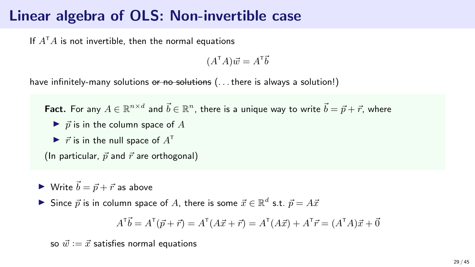### Linear algebra of OLS: Non-invertible case

If  $A^{\mathsf{T}}A$  is not invertible, then the normal equations

 $(A^{\mathsf{T}}A)\vec{w} = A^{\mathsf{T}}\vec{b}$ 

have infinitely-many solutions or no solutions (... there is always a solution!)

**Fact.** For any  $A\in\mathbb{R}^{n\times d}$  and  $\vec{b}\in\mathbb{R}^n$ , there is a unique way to write  $\vec{b}=\vec{p}+\vec{r}$ , where

- $\blacktriangleright$   $\vec{p}$  is in the column space of A
- $\blacktriangleright$   $\vec{r}$  is in the null space of  $A^{\dagger}$

(In particular,  $\vec{p}$  and  $\vec{r}$  are orthogonal)

 $\blacktriangleright$  Write  $\vec{b} = \vec{p} + \vec{r}$  as above

▶ Since  $\vec{p}$  is in column space of A, there is some  $\vec{x} \in \mathbb{R}^d$  s.t.  $\vec{p} = A\vec{x}$ 

$$
A^{\mathsf{T}}\vec{b} = A^{\mathsf{T}}(\vec{p} + \vec{r}) = A^{\mathsf{T}}(A\vec{x} + \vec{r}) = A^{\mathsf{T}}(A\vec{x}) + A^{\mathsf{T}}\vec{r} = (A^{\mathsf{T}}A)\vec{x} + \vec{0}
$$

so  $\vec{w} := \vec{x}$  satisfies normal equations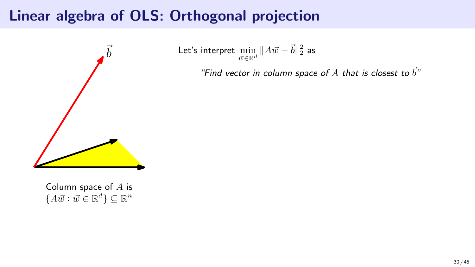

Let's interpret  $\displaystyle{\min_{\vec{w}\in\mathbb{R}^d}\|A\vec{w}-\vec{b}\|_2^2}$  as

"Find vector in column space of  $A$  that is closest to  $\vec{b}$ "

Column space of A is  ${A\vec{w} : \vec{w} \in \mathbb{R}^d} \subseteq \mathbb{R}^n$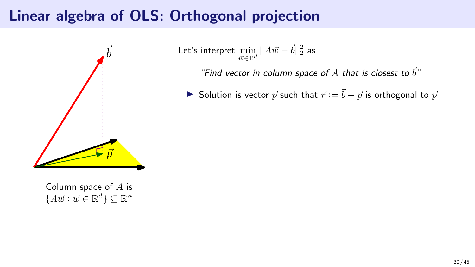

Column space of A is  ${A\vec{w} : \vec{w} \in \mathbb{R}^d} \subseteq \mathbb{R}^n$ 

Let's interpret  $\displaystyle{\min_{\vec{w}\in\mathbb{R}^d}\|A\vec{w}-\vec{b}\|_2^2}$  as

"Find vector in column space of  $A$  that is closest to  $\vec{b}$ "

▶ Solution is vector  $\vec{p}$  such that  $\vec{r} := \vec{b} - \vec{p}$  is orthogonal to  $\vec{p}$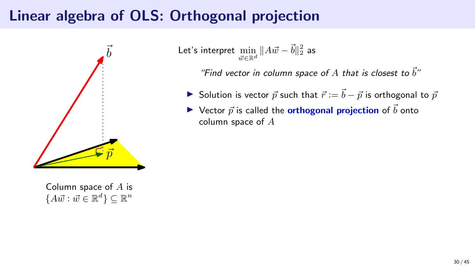

Column space of A is  ${A\vec{w} : \vec{w} \in \mathbb{R}^d} \subseteq \mathbb{R}^n$ 

Let's interpret  $\displaystyle{\min_{\vec{w}\in\mathbb{R}^d}\|A\vec{w}-\vec{b}\|_2^2}$  as

"Find vector in column space of  $A$  that is closest to  $\vec{b}$ "

- ▶ Solution is vector  $\vec{p}$  such that  $\vec{r} := \vec{b} \vec{p}$  is orthogonal to  $\vec{p}$
- $\triangleright$  Vector  $\vec{p}$  is called the **orthogonal projection** of  $\vec{b}$  onto column space of A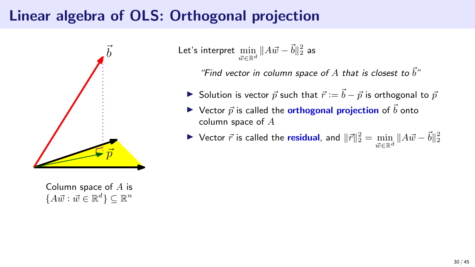

Column space of A is  ${A\vec{w} : \vec{w} \in \mathbb{R}^d} \subseteq \mathbb{R}^n$ 

Let's interpret  $\displaystyle{\min_{\vec{w}\in\mathbb{R}^d}\|A\vec{w}-\vec{b}\|_2^2}$  as

"Find vector in column space of A that is closest to  $\vec{b}$ "

- ▶ Solution is vector  $\vec{p}$  such that  $\vec{r} := \vec{b} \vec{p}$  is orthogonal to  $\vec{p}$
- $\triangleright$  Vector  $\vec{p}$  is called the **orthogonal projection** of  $\vec{b}$  onto column space of A
- ▶ Vector  $\vec{r}$  is called the residual, and  $\|\vec{r}\|_2^2 = \min\limits_{\vec{w} \in \mathbb{R}^d} \|A\vec{w} \vec{b}\|_2^2$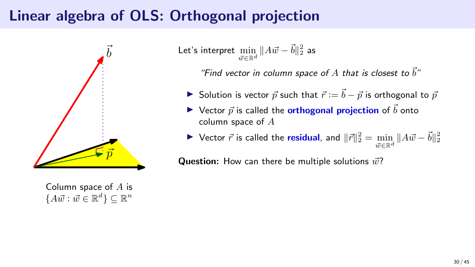

Column space of A is  ${A\vec{w} : \vec{w} \in \mathbb{R}^d} \subseteq \mathbb{R}^n$ 

Let's interpret  $\displaystyle{\min_{\vec{w}\in\mathbb{R}^d}\|A\vec{w}-\vec{b}\|_2^2}$  as

"Find vector in column space of  $A$  that is closest to  $\vec{b}$ "

- ▶ Solution is vector  $\vec{p}$  such that  $\vec{r} := \vec{b} \vec{p}$  is orthogonal to  $\vec{p}$
- $\triangleright$  Vector  $\vec{p}$  is called the **orthogonal projection** of  $\vec{b}$  onto column space of A
- ▶ Vector  $\vec{r}$  is called the residual, and  $\|\vec{r}\|_2^2 = \min\limits_{\vec{w} \in \mathbb{R}^d} \|A\vec{w} \vec{b}\|_2^2$

**Question:** How can there be multiple solutions  $\vec{w}$ ?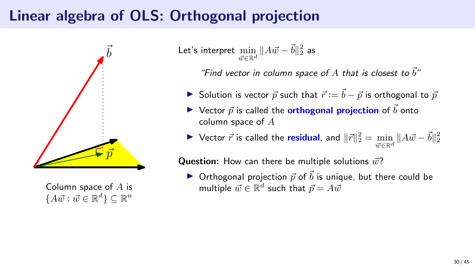

Column space of  $A$  is  ${A\vec{w} : \vec{w} \in \mathbb{R}^d} \subseteq \mathbb{R}^n$ 

Let's interpret  $\displaystyle{\min_{\vec{w}\in\mathbb{R}^d}\|A\vec{w}-\vec{b}\|_2^2}$  as

"Find vector in column space of A that is closest to  $\vec{b}$ "

- ▶ Solution is vector  $\vec{p}$  such that  $\vec{r} := \vec{b} \vec{p}$  is orthogonal to  $\vec{p}$
- $\triangleright$  Vector  $\vec{p}$  is called the **orthogonal projection** of  $\vec{b}$  onto column space of A
- ▶ Vector  $\vec{r}$  is called the residual, and  $\|\vec{r}\|_2^2 = \min\limits_{\vec{w} \in \mathbb{R}^d} \|A\vec{w} \vec{b}\|_2^2$

**Question:** How can there be multiple solutions  $\vec{w}$ ?

 $\triangleright$  Orthogonal projection  $\vec{p}$  of  $\vec{b}$  is unique, but there could be multiple  $\vec{w} \in \mathbb{R}^d$  such that  $\vec{p} = A \vec{w}$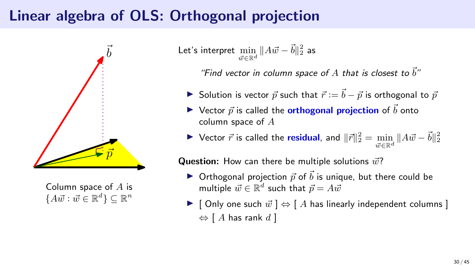

Column space of  $A$  is  ${A\vec{w} : \vec{w} \in \mathbb{R}^d} \subseteq \mathbb{R}^n$ 

Let's interpret  $\displaystyle{\min_{\vec{w}\in\mathbb{R}^d}\|A\vec{w}-\vec{b}\|_2^2}$  as

"Find vector in column space of  $A$  that is closest to  $\vec{b}$ "

- ▶ Solution is vector  $\vec{p}$  such that  $\vec{r} := \vec{b} \vec{p}$  is orthogonal to  $\vec{p}$
- $\triangleright$  Vector  $\vec{p}$  is called the **orthogonal projection** of  $\vec{b}$  onto column space of A
- ▶ Vector  $\vec{r}$  is called the residual, and  $\|\vec{r}\|_2^2 = \min\limits_{\vec{w} \in \mathbb{R}^d} \|A\vec{w} \vec{b}\|_2^2$

**Question:** How can there be multiple solutions  $\vec{w}$ ?

- $\triangleright$  Orthogonal projection  $\vec{p}$  of  $\vec{b}$  is unique, but there could be multiple  $\vec{w} \in \mathbb{R}^d$  such that  $\vec{p} = A \vec{w}$
- ▶ [ Only one such  $\vec{w}$  ]  $\Leftrightarrow$  [ A has linearly independent columns ]  $\Leftrightarrow$  [ A has rank d ]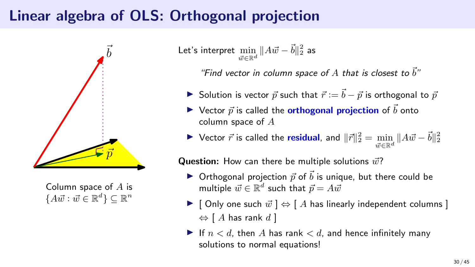

Column space of A is  ${A\vec{w} : \vec{w} \in \mathbb{R}^d} \subseteq \mathbb{R}^n$ 

Let's interpret  $\displaystyle{\min_{\vec{w}\in\mathbb{R}^d}\|A\vec{w}-\vec{b}\|_2^2}$  as

"Find vector in column space of  $A$  that is closest to  $\vec{b}$ "

- ▶ Solution is vector  $\vec{p}$  such that  $\vec{r} := \vec{b} \vec{p}$  is orthogonal to  $\vec{p}$
- $\triangleright$  Vector  $\vec{p}$  is called the **orthogonal projection** of  $\vec{b}$  onto column space of A

▶ Vector  $\vec{r}$  is called the residual, and  $\|\vec{r}\|_2^2 = \min\limits_{\vec{w} \in \mathbb{R}^d} \|A\vec{w} - \vec{b}\|_2^2$ 

**Question:** How can there be multiple solutions  $\vec{w}$ ?

- $\triangleright$  Orthogonal projection  $\vec{p}$  of  $\vec{b}$  is unique, but there could be multiple  $\vec{w} \in \mathbb{R}^d$  such that  $\vec{p} = A \vec{w}$
- ▶ [ Only one such  $\vec{w}$  ]  $\Leftrightarrow$  [ A has linearly independent columns ]  $\Leftrightarrow$  [ A has rank d ]
- $\blacktriangleright$  If  $n < d$ , then A has rank  $d$ , and hence infinitely many solutions to normal equations!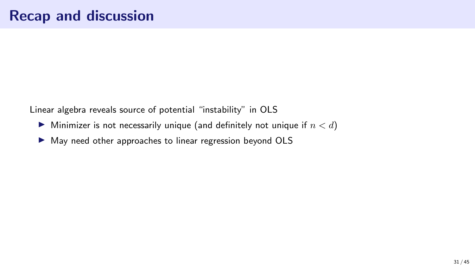Linear algebra reveals source of potential "instability" in OLS

- $\blacktriangleright$  Minimizer is not necessarily unique (and definitely not unique if  $n < d$ )
- ▶ May need other approaches to linear regression beyond OLS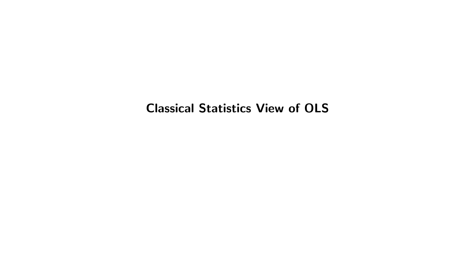#### Classical Statistics View of OLS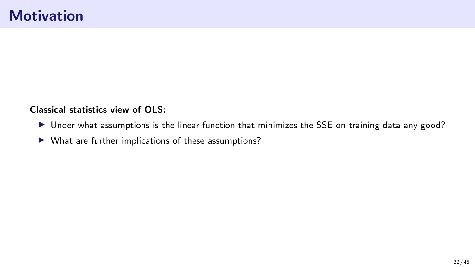Classical statistics view of OLS:

- ▶ Under what assumptions is the linear function that minimizes the SSE on training data any good?
- ▶ What are further implications of these assumptions?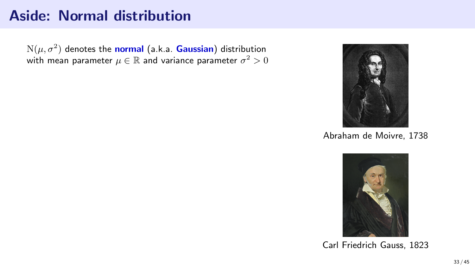#### Aside: Normal distribution

 $\mathrm{N}(\mu,\sigma^2)$  denotes the normal (a.k.a. Gaussian) distribution with mean parameter  $\mu\in\mathbb{R}$  and variance parameter  $\sigma^2>0$ 



Abraham de Moivre, 1738



Carl Friedrich Gauss, 1823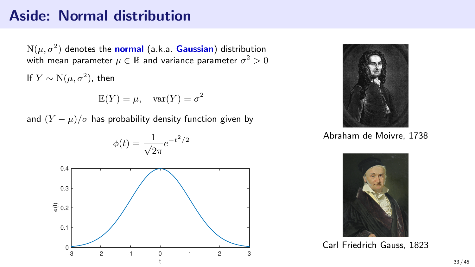#### Aside: Normal distribution

 $\mathrm{N}(\mu,\sigma^2)$  denotes the normal (a.k.a. Gaussian) distribution with mean parameter  $\mu\in\mathbb{R}$  and variance parameter  $\sigma^2>0$ 

If  $Y \sim N(\mu, \sigma^2)$ , then

$$
\mathbb{E}(Y) = \mu, \quad \text{var}(Y) = \sigma^2
$$

and  $(Y - \mu)/\sigma$  has probability density function given by





Abraham de Moivre, 1738



Carl Friedrich Gauss, 1823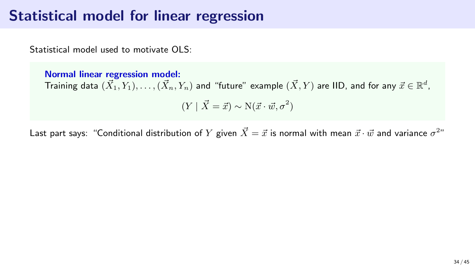Statistical model used to motivate OLS:

Normal linear regression model: Training data  $(\vec{X}_1,Y_1),\ldots,(\vec{X}_n,Y_n)$  and "future" example  $(\vec{X},Y)$  are IID, and for any  $\vec{x}\in\mathbb{R}^d$ ,  $(Y | \vec{X} = \vec{x}) \sim N(\vec{x} \cdot \vec{w}, \sigma^2)$ 

Last part says: "Conditional distribution of  $Y$  given  $\vec X=\vec x$  is normal with mean  $\vec x\cdot\vec w$  and variance  $\sigma^{2n}$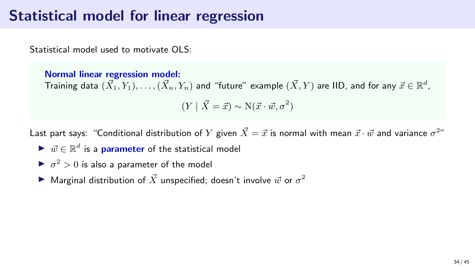Statistical model used to motivate OLS:

Normal linear regression model: Training data  $(\vec{X}_1,Y_1),\ldots,(\vec{X}_n,Y_n)$  and "future" example  $(\vec{X},Y)$  are IID, and for any  $\vec{x}\in\mathbb{R}^d$ ,  $(Y | \vec{X} = \vec{x}) \sim N(\vec{x} \cdot \vec{w}, \sigma^2)$ 

Last part says: "Conditional distribution of  $Y$  given  $\vec X=\vec x$  is normal with mean  $\vec x\cdot\vec w$  and variance  $\sigma^{2n}$ 

- $\blacktriangleright \ \vec{w} \in \mathbb{R}^d$  is a parameter of the statistical model
- $\blacktriangleright$   $\sigma^2 > 0$  is also a parameter of the model
- $\blacktriangleright$  Marginal distribution of  $\vec{X}$  unspecified; doesn't involve  $\vec{w}$  or  $\sigma^2$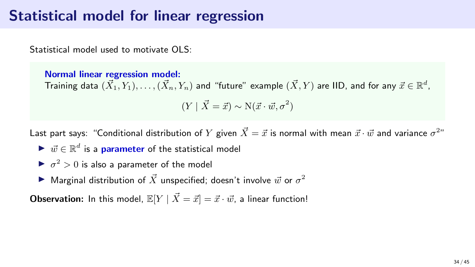Statistical model used to motivate OLS:

Normal linear regression model: Training data  $(\vec{X}_1,Y_1),\ldots,(\vec{X}_n,Y_n)$  and "future" example  $(\vec{X},Y)$  are IID, and for any  $\vec{x}\in\mathbb{R}^d$ ,  $(Y | \vec{X} = \vec{x}) \sim N(\vec{x} \cdot \vec{w}, \sigma^2)$ 

Last part says: "Conditional distribution of  $Y$  given  $\vec X=\vec x$  is normal with mean  $\vec x\cdot\vec w$  and variance  $\sigma^{2n}$ 

- $\blacktriangleright \ \vec{w} \in \mathbb{R}^d$  is a parameter of the statistical model
- $\blacktriangleright$   $\sigma^2 > 0$  is also a parameter of the model
- $\blacktriangleright$  Marginal distribution of  $\vec{X}$  unspecified; doesn't involve  $\vec{w}$  or  $\sigma^2$

**Observation:** In this model,  $\mathbb{E}[Y | \vec{X} = \vec{x}] = \vec{x} \cdot \vec{w}$ , a linear function!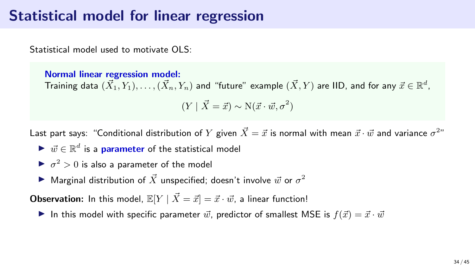Statistical model used to motivate OLS:

Normal linear regression model: Training data  $(\vec{X}_1,Y_1),\ldots,(\vec{X}_n,Y_n)$  and "future" example  $(\vec{X},Y)$  are IID, and for any  $\vec{x}\in\mathbb{R}^d$ ,  $(Y | \vec{X} = \vec{x}) \sim N(\vec{x} \cdot \vec{w}, \sigma^2)$ 

Last part says: "Conditional distribution of  $Y$  given  $\vec X=\vec x$  is normal with mean  $\vec x\cdot\vec w$  and variance  $\sigma^{2n}$ 

- $\blacktriangleright \ \vec{w} \in \mathbb{R}^d$  is a parameter of the statistical model
- $\blacktriangleright$   $\sigma^2 > 0$  is also a parameter of the model
- $\blacktriangleright$  Marginal distribution of  $\vec{X}$  unspecified; doesn't involve  $\vec{w}$  or  $\sigma^2$

**Observation:** In this model,  $\mathbb{E}[Y | \vec{X} = \vec{x}] = \vec{x} \cdot \vec{w}$ , a linear function!

In this model with specific parameter  $\vec{w}$ , predictor of smallest MSE is  $f(\vec{x}) = \vec{x} \cdot \vec{w}$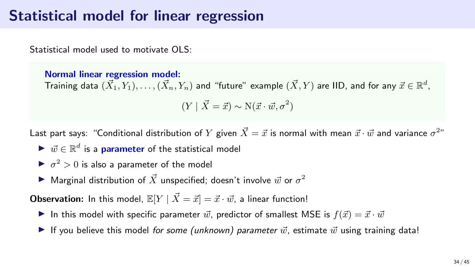Statistical model used to motivate OLS:

Normal linear regression model: Training data  $(\vec{X}_1,Y_1),\ldots,(\vec{X}_n,Y_n)$  and "future" example  $(\vec{X},Y)$  are IID, and for any  $\vec{x}\in\mathbb{R}^d$ ,  $(Y | \vec{X} = \vec{x}) \sim N(\vec{x} \cdot \vec{w}, \sigma^2)$ 

Last part says: "Conditional distribution of  $Y$  given  $\vec X=\vec x$  is normal with mean  $\vec x\cdot\vec w$  and variance  $\sigma^{2n}$ 

- $\blacktriangleright \ \vec{w} \in \mathbb{R}^d$  is a parameter of the statistical model
- $\blacktriangleright$   $\sigma^2 > 0$  is also a parameter of the model
- $\blacktriangleright$  Marginal distribution of  $\vec{X}$  unspecified; doesn't involve  $\vec{w}$  or  $\sigma^2$

**Observation:** In this model,  $\mathbb{E}[Y \mid \vec{X} = \vec{x}] = \vec{x} \cdot \vec{w}$ , a linear function!

- In this model with specific parameter  $\vec{w}$ , predictor of smallest MSE is  $f(\vec{x}) = \vec{x} \cdot \vec{w}$
- If you believe this model for some (unknown) parameter  $\vec{w}$ , estimate  $\vec{w}$  using training data!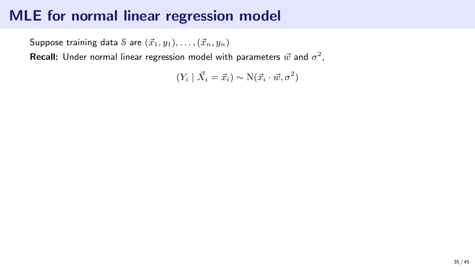Suppose training data S are  $(\vec{x}_1, y_1), \ldots, (\vec{x}_n, y_n)$ 

**Recall:** Under normal linear regression model with parameters  $\vec{w}$  and  $\sigma^2$ ,

$$
(Y_i | \vec{X}_i = \vec{x}_i) \sim N(\vec{x}_i \cdot \vec{w}, \sigma^2)
$$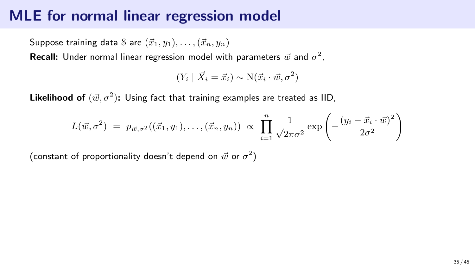Suppose training data S are  $(\vec{x}_1, y_1), \ldots, (\vec{x}_n, y_n)$ 

**Recall:** Under normal linear regression model with parameters  $\vec{w}$  and  $\sigma^2$ ,

$$
(Y_i | \vec{X}_i = \vec{x}_i) \sim N(\vec{x}_i \cdot \vec{w}, \sigma^2)
$$

Likelihood of  $(\vec{w}, \sigma^2)$ : Using fact that training examples are treated as IID,

$$
L(\vec{w}, \sigma^2) = p_{\vec{w}, \sigma^2}((\vec{x}_1, y_1), \dots, (\vec{x}_n, y_n)) \propto \prod_{i=1}^n \frac{1}{\sqrt{2\pi\sigma^2}} \exp\left(-\frac{(y_i - \vec{x}_i \cdot \vec{w})^2}{2\sigma^2}\right)
$$

(constant of proportionality doesn't depend on  $\vec{w}$  or  $\sigma^2)$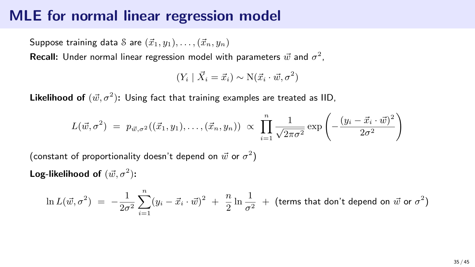Suppose training data S are  $(\vec{x}_1, y_1), \ldots, (\vec{x}_n, y_n)$ 

**Recall:** Under normal linear regression model with parameters  $\vec{w}$  and  $\sigma^2$ ,

$$
(Y_i | \vec{X}_i = \vec{x}_i) \sim N(\vec{x}_i \cdot \vec{w}, \sigma^2)
$$

Likelihood of  $(\vec{w}, \sigma^2)$ : Using fact that training examples are treated as IID,

$$
L(\vec{w}, \sigma^2) = p_{\vec{w}, \sigma^2}((\vec{x}_1, y_1), \dots, (\vec{x}_n, y_n)) \propto \prod_{i=1}^n \frac{1}{\sqrt{2\pi\sigma^2}} \exp \left(-\frac{(y_i - \vec{x}_i \cdot \vec{w})^2}{2\sigma^2}\right)
$$

(constant of proportionality doesn't depend on  $\vec{w}$  or  $\sigma^2)$ 

Log-likelihood of  $(\vec{w}, \sigma^2)$ :

$$
\ln L(\vec{w}, \sigma^2) = -\frac{1}{2\sigma^2} \sum_{i=1}^n (y_i - \vec{x}_i \cdot \vec{w})^2 + \frac{n}{2} \ln \frac{1}{\sigma^2} + \text{(terms that don't depend on }\vec{w} \text{ or } \sigma^2\text{)}
$$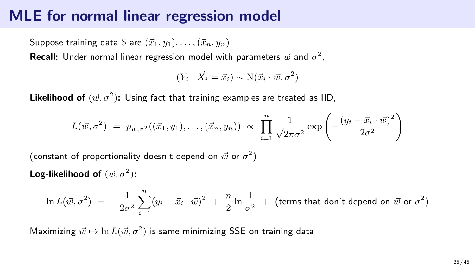Suppose training data S are  $(\vec{x}_1, y_1), \ldots, (\vec{x}_n, y_n)$ 

**Recall:** Under normal linear regression model with parameters  $\vec{w}$  and  $\sigma^2$ ,

$$
(Y_i | \vec{X}_i = \vec{x}_i) \sim N(\vec{x}_i \cdot \vec{w}, \sigma^2)
$$

Likelihood of  $(\vec{w}, \sigma^2)$ : Using fact that training examples are treated as IID,

$$
L(\vec{w}, \sigma^2) = p_{\vec{w}, \sigma^2}((\vec{x}_1, y_1), \dots, (\vec{x}_n, y_n)) \propto \prod_{i=1}^n \frac{1}{\sqrt{2\pi\sigma^2}} \exp \left(-\frac{(y_i - \vec{x}_i \cdot \vec{w})^2}{2\sigma^2}\right)
$$

(constant of proportionality doesn't depend on  $\vec{w}$  or  $\sigma^2)$ 

Log-likelihood of  $(\vec{w}, \sigma^2)$ :

$$
\ln L(\vec{w}, \sigma^2) = -\frac{1}{2\sigma^2} \sum_{i=1}^n (y_i - \vec{x}_i \cdot \vec{w})^2 + \frac{n}{2} \ln \frac{1}{\sigma^2} + \text{(terms that don't depend on }\vec{w} \text{ or } \sigma^2\text{)}
$$

Maximizing  $\vec{w} \mapsto \ln L(\vec{w}, \sigma^2)$  is same minimizing SSE on training data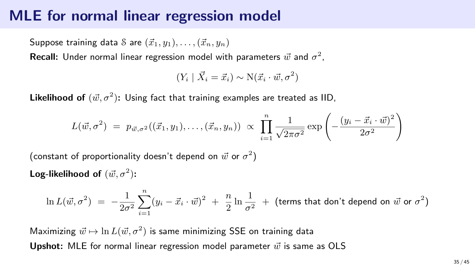Suppose training data S are  $(\vec{x}_1, y_1), \ldots, (\vec{x}_n, y_n)$ 

**Recall:** Under normal linear regression model with parameters  $\vec{w}$  and  $\sigma^2$ ,

$$
(Y_i | \vec{X}_i = \vec{x}_i) \sim N(\vec{x}_i \cdot \vec{w}, \sigma^2)
$$

Likelihood of  $(\vec{w}, \sigma^2)$ : Using fact that training examples are treated as IID,

$$
L(\vec{w}, \sigma^2) = p_{\vec{w}, \sigma^2}((\vec{x}_1, y_1), \dots, (\vec{x}_n, y_n)) \propto \prod_{i=1}^n \frac{1}{\sqrt{2\pi\sigma^2}} \exp \left(-\frac{(y_i - \vec{x}_i \cdot \vec{w})^2}{2\sigma^2}\right)
$$

(constant of proportionality doesn't depend on  $\vec{w}$  or  $\sigma^2)$ 

Log-likelihood of  $(\vec{w}, \sigma^2)$ :

$$
\ln L(\vec{w}, \sigma^2) = -\frac{1}{2\sigma^2} \sum_{i=1}^n (y_i - \vec{x}_i \cdot \vec{w})^2 + \frac{n}{2} \ln \frac{1}{\sigma^2} + \text{(terms that don't depend on }\vec{w} \text{ or } \sigma^2\text{)}
$$

Maximizing  $\vec{w} \mapsto \ln L(\vec{w}, \sigma^2)$  is same minimizing SSE on training data **Upshot:** MLE for normal linear regression model parameter  $\vec{w}$  is same as OLS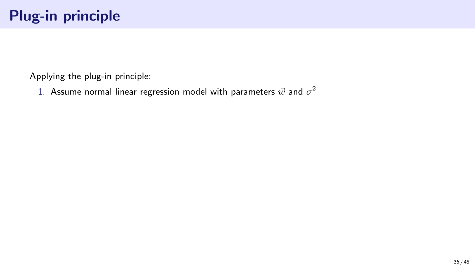1. Assume normal linear regression model with parameters  $\vec{w}$  and  $\sigma^2$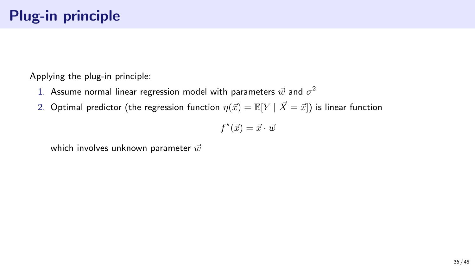- 1. Assume normal linear regression model with parameters  $\vec{w}$  and  $\sigma^2$
- 2. Optimal predictor (the regression function  $\eta(\vec{x}) = \mathbb{E}[Y | \vec{X} = \vec{x}]$ ) is linear function

$$
f^\star(\vec{x}) = \vec{x} \cdot \vec{w}
$$

which involves unknown parameter  $\vec{w}$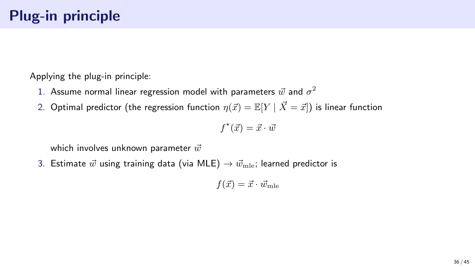- 1. Assume normal linear regression model with parameters  $\vec{w}$  and  $\sigma^2$
- 2. Optimal predictor (the regression function  $\eta(\vec{x}) = \mathbb{E}[Y | \vec{X} = \vec{x}]$ ) is linear function

$$
f^\star(\vec{x}) = \vec{x} \cdot \vec{w}
$$

which involves unknown parameter  $\vec{w}$ 

3. Estimate  $\vec{w}$  using training data (via MLE)  $\rightarrow \vec{w}_{\text{mle}}$ ; learned predictor is

$$
f(\vec{x}) = \vec{x} \cdot \vec{w}_{\text{mle}}
$$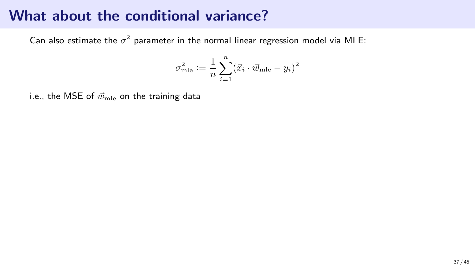Can also estimate the  $\sigma^2$  parameter in the normal linear regression model via MLE:

$$
\sigma_{\text{mle}}^2 \coloneqq \frac{1}{n} \sum_{i=1}^n (\vec{x}_i \cdot \vec{w}_{\text{mle}} - y_i)^2
$$

i.e., the MSE of  $\vec{w}_{\text{mle}}$  on the training data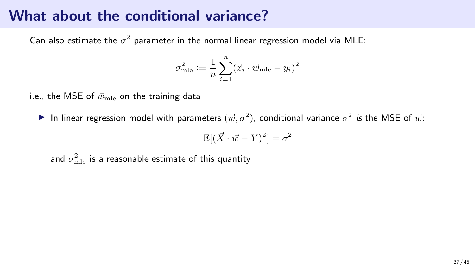Can also estimate the  $\sigma^2$  parameter in the normal linear regression model via MLE:

$$
\sigma_{\text{mle}}^2 \coloneqq \frac{1}{n} \sum_{i=1}^n (\vec{x}_i \cdot \vec{w}_{\text{mle}} - y_i)^2
$$

i.e., the MSE of  $\vec{w}_{\text{mle}}$  on the training data

In linear regression model with parameters  $(\vec{w}, \sigma^2)$ , conditional variance  $\sigma^2$  is the MSE of  $\vec{w}$ :

$$
\mathbb{E}[(\vec{X} \cdot \vec{w} - Y)^2] = \sigma^2
$$

and  $\sigma_{\rm mle}^2$  is a reasonable estimate of this quantity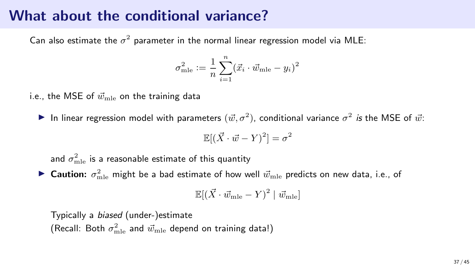Can also estimate the  $\sigma^2$  parameter in the normal linear regression model via MLE:

$$
\sigma_{\text{mle}}^2 \coloneqq \frac{1}{n} \sum_{i=1}^n (\vec{x}_i \cdot \vec{w}_{\text{mle}} - y_i)^2
$$

i.e., the MSE of  $\vec{w}_{\text{mle}}$  on the training data

In linear regression model with parameters  $(\vec{w}, \sigma^2)$ , conditional variance  $\sigma^2$  is the MSE of  $\vec{w}$ :

$$
\mathbb{E}[(\vec{X} \cdot \vec{w} - Y)^2] = \sigma^2
$$

and  $\sigma_{\rm mle}^2$  is a reasonable estimate of this quantity

 $\blacktriangleright$  Caution:  $\sigma_{\text{mle}}^2$  might be a bad estimate of how well  $\vec{w}_{\text{mle}}$  predicts on new data, i.e., of

$$
\mathbb{E}[(\vec{X} \cdot \vec{w}_{\text{mle}} - Y)^2 \mid \vec{w}_{\text{mle}}]
$$

Typically a biased (under-)estimate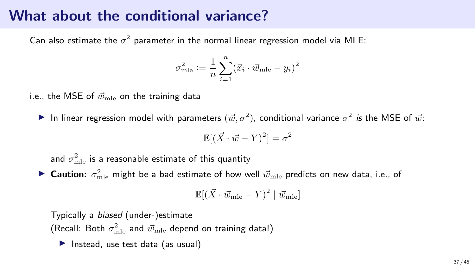Can also estimate the  $\sigma^2$  parameter in the normal linear regression model via MLE:

$$
\sigma_{\text{mle}}^2 \coloneqq \frac{1}{n}\sum_{i=1}^n (\vec{x}_i \cdot \vec{w}_{\text{mle}} - y_i)^2
$$

i.e., the MSE of  $\vec{w}_{\mathrm{mle}}$  on the training data

In linear regression model with parameters  $(\vec{w}, \sigma^2)$ , conditional variance  $\sigma^2$  is the MSE of  $\vec{w}$ :

$$
\mathbb{E}[(\vec{X} \cdot \vec{w} - Y)^2] = \sigma^2
$$

and  $\sigma_{\rm mle}^2$  is a reasonable estimate of this quantity

 $\blacktriangleright$  Caution:  $\sigma_{\text{mle}}^2$  might be a bad estimate of how well  $\vec{w}_{\text{mle}}$  predicts on new data, i.e., of

$$
\mathbb{E}[(\vec{X} \cdot \vec{w}_{\text{mle}} - Y)^2 \mid \vec{w}_{\text{mle}}]
$$

Typically a biased (under-)estimate (Recall: Both  $\sigma_{\rm mle}^2$  and  $\vec{w}_{\rm mle}$  depend on training data!)

▶ Instead, use test data (as usual)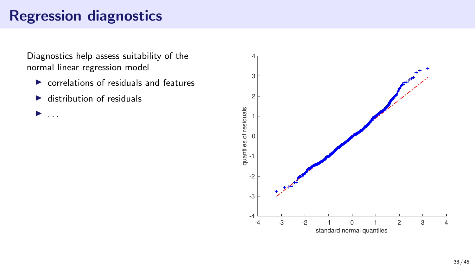# Regression diagnostics

Diagnostics help assess suitability of the normal linear regression model

- $\triangleright$  correlations of residuals and features
- $\blacktriangleright$  distribution of residuals

 $\blacktriangleright$  ...

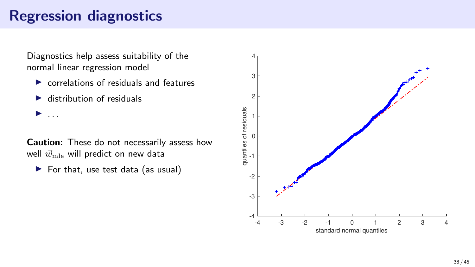## Regression diagnostics

Diagnostics help assess suitability of the normal linear regression model

- $\triangleright$  correlations of residuals and features
- $\blacktriangleright$  distribution of residuals

 $\blacktriangleright$  ...

Caution: These do not necessarily assess how well  $\vec{w}_{\text{mle}}$  will predict on new data

 $\blacktriangleright$  For that, use test data (as usual)

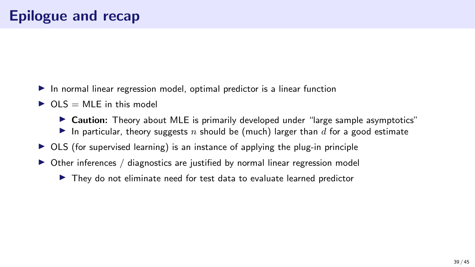- ▶ In normal linear regression model, optimal predictor is a linear function
- $\triangleright$  OLS = MLE in this model
	- ▶ Caution: Theory about MLE is primarily developed under "large sample asymptotics"
	- In particular, theory suggests n should be (much) larger than d for a good estimate
- $\triangleright$  OLS (for supervised learning) is an instance of applying the plug-in principle
- ▶ Other inferences / diagnostics are justified by normal linear regression model
	- ▶ They do not eliminate need for test data to evaluate learned predictor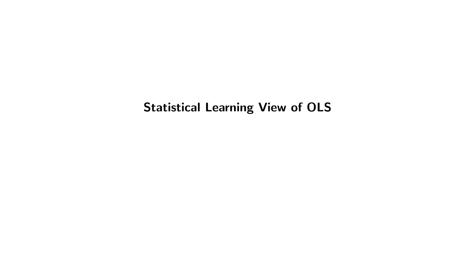Statistical Learning View of OLS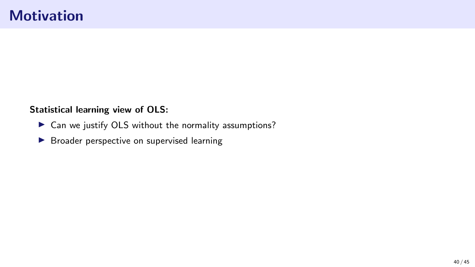#### Statistical learning view of OLS:

- ▶ Can we justify OLS without the normality assumptions?
- ▶ Broader perspective on supervised learning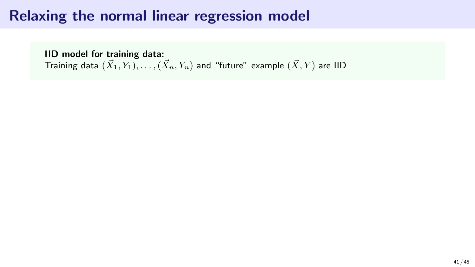## Relaxing the normal linear regression model

IID model for training data: Training data  $(\vec{X}_1, Y_1), \ldots, (\vec{X}_n, Y_n)$  and "future" example  $(\vec{X}, Y)$  are IID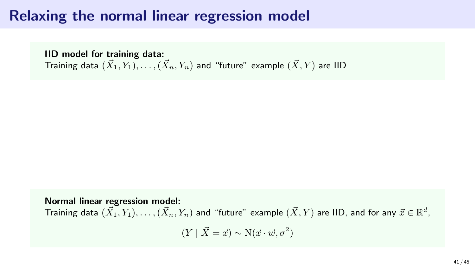#### Relaxing the normal linear regression model

IID model for training data: Training data  $(\vec{X}_1, Y_1), \ldots, (\vec{X}_n, Y_n)$  and "future" example  $(\vec{X}, Y)$  are IID

Normal linear regression model: Training data  $(\vec{X}_1,Y_1),\ldots,(\vec{X}_n,Y_n)$  and "future" example  $(\vec{X},Y)$  are IID, and for any  $\vec{x}\in\mathbb{R}^d$ ,  $(Y | \vec{X} = \vec{x}) \sim N(\vec{x} \cdot \vec{w}, \sigma^2)$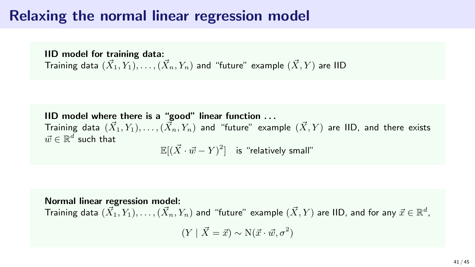#### Relaxing the normal linear regression model

IID model for training data: Training data  $(\vec{X}_1, Y_1), \ldots, (\vec{X}_n, Y_n)$  and "future" example  $(\vec{X}, Y)$  are IID

IID model where there is a "good" linear function . . . Training data  $(\vec{X}_1, Y_1), \ldots, (\vec{X}_n, Y_n)$  and "future" example  $(\vec{X}, Y)$  are IID, and there exists  $\vec{w} \in \mathbb{R}^d$  such that

 $\mathbb{E}[(\vec{X}\cdot\vec{w} - Y)^2]$  is "relatively small"

Normal linear regression model: Training data  $(\vec{X}_1,Y_1),\ldots,(\vec{X}_n,Y_n)$  and "future" example  $(\vec{X},Y)$  are IID, and for any  $\vec{x}\in\mathbb{R}^d$ ,  $(Y | \vec{X} = \vec{x}) \sim N(\vec{x} \cdot \vec{w}, \sigma^2)$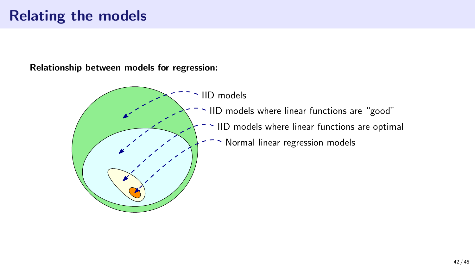#### Relating the models

Relationship between models for regression:

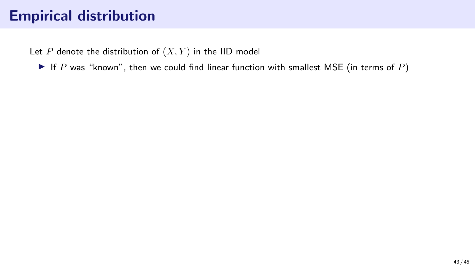Let  $P$  denote the distribution of  $(X, Y)$  in the IID model

 $\blacktriangleright$  If P was "known", then we could find linear function with smallest MSE (in terms of P)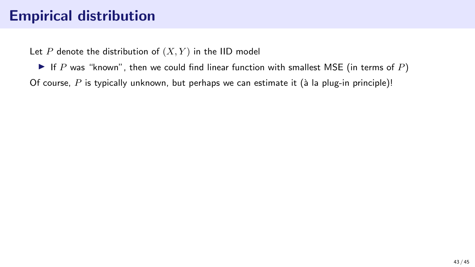Let P denote the distribution of  $(X, Y)$  in the IID model

 $\blacktriangleright$  If P was "known", then we could find linear function with smallest MSE (in terms of P) Of course, P is typically unknown, but perhaps we can estimate it ( $\hat{a}$  la plug-in principle)!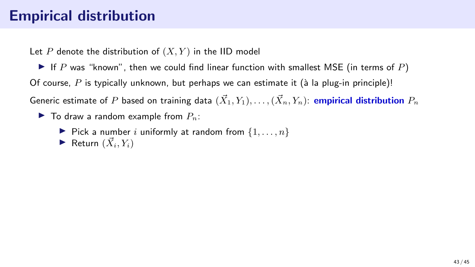Let P denote the distribution of  $(X, Y)$  in the IID model

 $\blacktriangleright$  If P was "known", then we could find linear function with smallest MSE (in terms of P) Of course, P is typically unknown, but perhaps we can estimate it (à la plug-in principle)! Generic estimate of P based on training data  $(\vec{X}_1, Y_1), \ldots, (\vec{X}_n, Y_n)$ : empirical distribution  $P_n$ 

- $\blacktriangleright$  To draw a random example from  $P_n$ :
	- $\blacktriangleright$  Pick a number i uniformly at random from  $\{1, \ldots, n\}$
	- $\blacktriangleright$  Return  $(\vec{X}_i, Y_i)$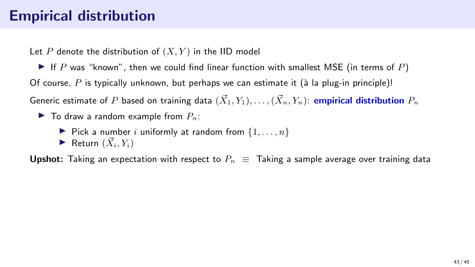Let P denote the distribution of  $(X, Y)$  in the IID model

 $\blacktriangleright$  If P was "known", then we could find linear function with smallest MSE (in terms of P) Of course, P is typically unknown, but perhaps we can estimate it (à la plug-in principle)! Generic estimate of P based on training data  $(\vec{X}_1, Y_1), \ldots, (\vec{X}_n, Y_n)$ : empirical distribution  $P_n$ 

- $\blacktriangleright$  To draw a random example from  $P_n$ :
	- $\blacktriangleright$  Pick a number i uniformly at random from  $\{1, \ldots, n\}$
	- $\blacktriangleright$  Return  $(\vec{X}_i, Y_i)$

**Upshot:** Taking an expectation with respect to  $P_n \equiv$  Taking a sample average over training data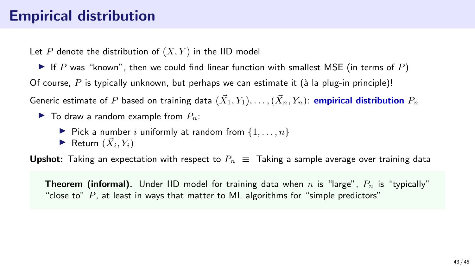Let P denote the distribution of  $(X, Y)$  in the IID model

If P was "known", then we could find linear function with smallest MSE (in terms of P) Of course, P is typically unknown, but perhaps we can estimate it (à la plug-in principle)! Generic estimate of P based on training data  $(\vec{X}_1, Y_1), \ldots, (\vec{X}_n, Y_n)$ : empirical distribution  $P_n$ 

- $\blacktriangleright$  To draw a random example from  $P_n$ :
	- $\blacktriangleright$  Pick a number i uniformly at random from  $\{1, \ldots, n\}$
	- $\blacktriangleright$  Return  $(\vec{X}_i, Y_i)$

**Upshot:** Taking an expectation with respect to  $P_n \equiv$  Taking a sample average over training data

**Theorem (informal).** Under IID model for training data when n is "large",  $P_n$  is "typically" "close to"  $P$ , at least in ways that matter to ML algorithms for "simple predictors"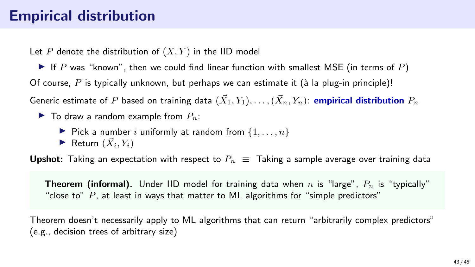Let P denote the distribution of  $(X, Y)$  in the IID model

If P was "known", then we could find linear function with smallest MSE (in terms of P) Of course, P is typically unknown, but perhaps we can estimate it (à la plug-in principle)! Generic estimate of P based on training data  $(\vec{X}_1, Y_1), \ldots, (\vec{X}_n, Y_n)$ : empirical distribution  $P_n$ 

- $\blacktriangleright$  To draw a random example from  $P_n$ :
	- $\blacktriangleright$  Pick a number i uniformly at random from  $\{1, \ldots, n\}$
	- $\blacktriangleright$  Return  $(\vec{X}_i, Y_i)$

**Upshot:** Taking an expectation with respect to  $P_n \equiv$  Taking a sample average over training data

**Theorem (informal).** Under IID model for training data when n is "large",  $P_n$  is "typically" "close to"  $P$ , at least in ways that matter to ML algorithms for "simple predictors"

Theorem doesn't necessarily apply to ML algorithms that can return "arbitrarily complex predictors" (e.g., decision trees of arbitrary size)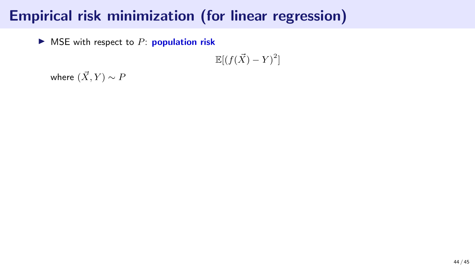$\triangleright$  MSE with respect to P: **population risk** 

 $\mathbb{E}[(f(\vec{X}) - Y)^2]$ 

where  $(\vec{X}, Y) \sim P$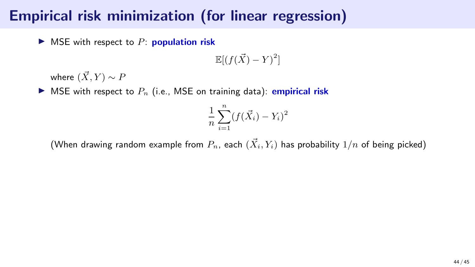$\triangleright$  MSE with respect to P: population risk

 $\mathbb{E}[(f(\vec{X}) - Y)^2]$ 

where  $(\vec{X}, Y) \sim P$ 

 $\blacktriangleright$  MSE with respect to  $P_n$  (i.e., MSE on training data): **empirical risk** 

$$
\frac{1}{n}\sum_{i=1}^{n}(f(\vec{X}_i)-Y_i)^2
$$

(When drawing random example from  $P_n$ , each  $(\vec{X}_i, Y_i)$  has probability  $1/n$  of being picked)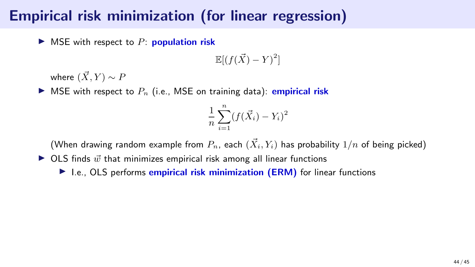$\triangleright$  MSE with respect to P: **population risk** 

 $\mathbb{E}[(f(\vec{X}) - Y)^2]$ 

where  $(\vec{X}, Y) \sim P$ 

 $\blacktriangleright$  MSE with respect to  $P_n$  (i.e., MSE on training data): **empirical risk** 

$$
\frac{1}{n}\sum_{i=1}^{n}(f(\vec{X}_i)-Y_i)^2
$$

(When drawing random example from  $P_n$ , each  $(\vec{X}_i, Y_i)$  has probability  $1/n$  of being picked)

 $\triangleright$  OLS finds  $\vec{w}$  that minimizes empirical risk among all linear functions

▶ I.e., OLS performs empirical risk minimization (ERM) for linear functions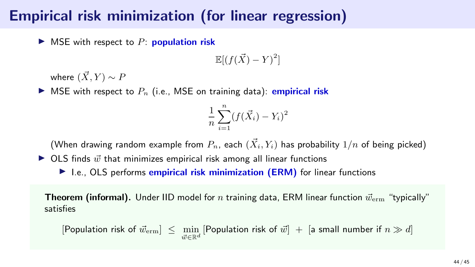$\triangleright$  MSE with respect to P: **population risk** 

 $\mathbb{E}[(f(\vec{X}) - Y)^2]$ 

where  $(\vec{X}, Y) \sim P$ 

 $\blacktriangleright$  MSE with respect to  $P_n$  (i.e., MSE on training data): **empirical risk** 

$$
\frac{1}{n}\sum_{i=1}^{n}(f(\vec{X}_i)-Y_i)^2
$$

(When drawing random example from  $P_n$ , each  $(\vec{X}_i, Y_i)$  has probability  $1/n$  of being picked)

 $\triangleright$  OLS finds  $\vec{w}$  that minimizes empirical risk among all linear functions

▶ I.e., OLS performs empirical risk minimization (ERM) for linear functions

**Theorem (informal).** Under IID model for *n* training data, ERM linear function  $\vec{w}_{\text{erm}}$  "typically" satisfies

 $[\mathsf{Population~risk~of~} \vec{w}_{\mathrm{erm}}] \ \leq \ \min_{\vec{w} \in \mathbb{R}^d} \, [\mathsf{Population~risk~of~} \vec{w}] \ + \ [\mathsf{a~small~number~if~} n \gg d]$